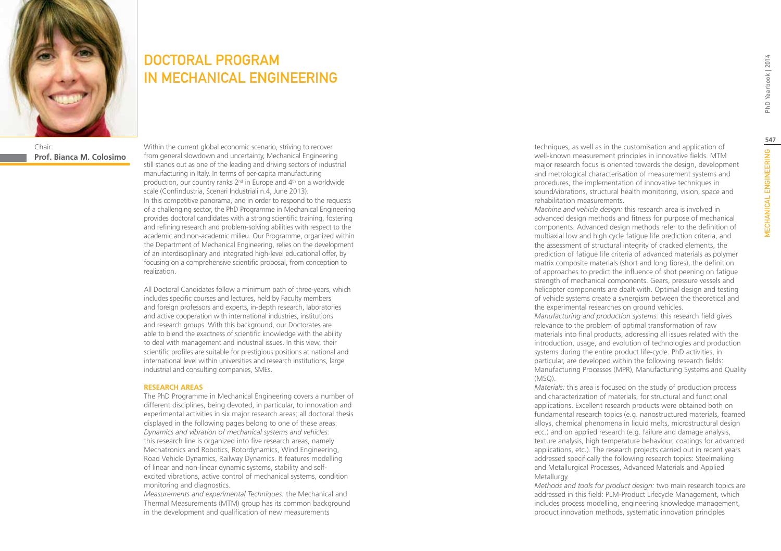

### Chair: **Prof. Bianca M. Colosimo**

DOCTORAL PROGRAM IN MECHANICAL ENGINEERING

Within the current global economic scenario, striving to recover from general slowdown and uncertainty, Mechanical Engineering still stands out as one of the leading and driving sectors of industrial manufacturing in Italy. In terms of per-capita manufacturing production, our country ranks  $2<sup>nd</sup>$  in Europe and  $4<sup>th</sup>$  on a worldwide scale (Confindustria, Scenari Industriali n.4, June 2013). In this competitive panorama, and in order to respond to the requests of a challenging sector, the PhD Programme in Mechanical Engineering provides doctoral candidates with a strong scientific training, fostering and refining research and problem-solving abilities with respect to the academic and non-academic milieu. Our Programme, organized within the Department of Mechanical Engineering, relies on the development of an interdisciplinary and integrated high-level educational offer, by focusing on a comprehensive scientific proposal, from conception to realization.

All Doctoral Candidates follow a minimum path of three-years, which includes specific courses and lectures, held by Faculty members and foreign professors and experts, in-depth research, laboratories and active cooperation with international industries, institutions and research groups. With this background, our Doctorates are able to blend the exactness of scientific knowledge with the ability to deal with management and industrial issues. In this view, their scientific profiles are suitable for prestigious positions at national and international level within universities and research institutions, large industrial and consulting companies, SMEs.

#### **RESEARCH AREAS**

The PhD Programme in Mechanical Engineering covers a number of different disciplines, being devoted, in particular, to innovation and experimental activities in six major research areas; all doctoral thesis displayed in the following pages belong to one of these areas: *Dynamics and vibration of mechanical systems and vehicles:* this research line is organized into five research areas, namely Mechatronics and Robotics, Rotordynamics, Wind Engineering, Road Vehicle Dynamics, Railway Dynamics. It features modelling of linear and non-linear dynamic systems, stability and selfexcited vibrations, active control of mechanical systems, condition monitoring and diagnostics.

*Measurements and experimental Techniques:* the Mechanical and Thermal Measurements (MTM) group has its common background in the development and qualification of new measurements

techniques, as well as in the customisation and application of well-known measurement principles in innovative fields. MTM major research focus is oriented towards the design, development and metrological characterisation of measurement systems and procedures, the implementation of innovative techniques in sound/vibrations, structural health monitoring, vision, space and rehabilitation measurements.

*Machine and vehicle design:* this research area is involved in advanced design methods and fitness for purpose of mechanical components. Advanced design methods refer to the definition of multiaxial low and high cycle fatigue life prediction criteria, and the assessment of structural integrity of cracked elements, the prediction of fatigue life criteria of advanced materials as polymer matrix composite materials (short and long fibres), the definition of approaches to predict the influence of shot peening on fatigue strength of mechanical components. Gears, pressure vessels and helicopter components are dealt with. Optimal design and testing of vehicle systems create a synergism between the theoretical and the experimental researches on ground vehicles.

*Manufacturing and production systems:* this research field gives relevance to the problem of optimal transformation of raw materials into final products, addressing all issues related with the introduction, usage, and evolution of technologies and production systems during the entire product life-cycle. PhD activities, in particular, are developed within the following research fields: Manufacturing Processes (MPR), Manufacturing Systems and Quality (MSQ).

*Materials:* this area is focused on the study of production process and characterization of materials, for structural and functional applications. Excellent research products were obtained both on fundamental research topics (e.g. nanostructured materials, foamed alloys, chemical phenomena in liquid melts, microstructural design ecc.) and on applied research (e.g. failure and damage analysis, texture analysis, high temperature behaviour, coatings for advanced applications, etc.). The research projects carried out in recent years addressed specifically the following research topics: Steelmaking and Metallurgical Processes, Advanced Materials and Applied Metallurgy.

*Methods and tools for product design:* two main research topics are addressed in this field: PLM-Product Lifecycle Management, which includes process modelling, engineering knowledge management, product innovation methods, systematic innovation principles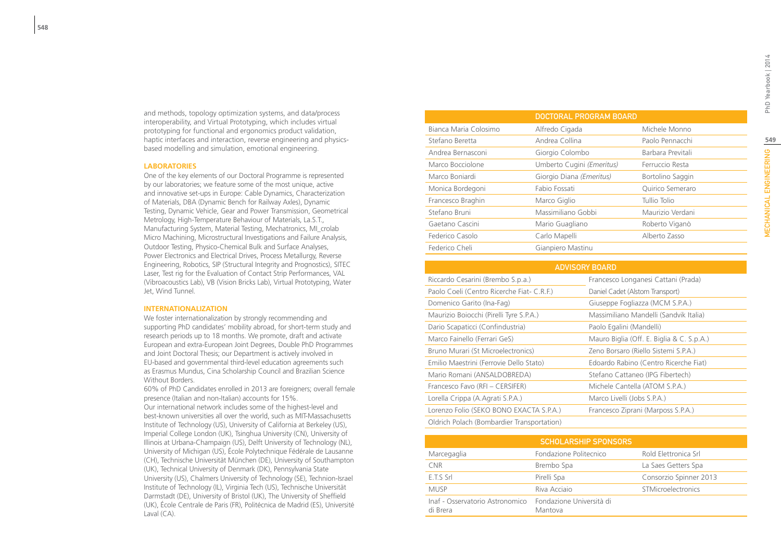and methods, topology optimization systems, and data/process interoperability, and Virtual Prototyping, which includes virtual prototyping for functional and ergonomics product validation, haptic interfaces and interaction, reverse engineering and physicsbased modelling and simulation, emotional engineering.

#### **LABORATORIES**

One of the key elements of our Doctoral Programme is represented by our laboratories; we feature some of the most unique, active and innovative set-ups in Europe: Cable Dynamics, Characterization of Materials, DBA (Dynamic Bench for Railway Axles), Dynamic Testing, Dynamic Vehicle, Gear and Power Transmission, Geometrical Metrology, High-Temperature Behaviour of Materials, La.S.T., Manufacturing System, Material Testing, Mechatronics, MI\_crolab Micro Machining, Microstructural Investigations and Failure Analysis, Outdoor Testing, Physico-Chemical Bulk and Surface Analyses, Power Electronics and Electrical Drives, Process Metallurgy, Reverse Engineering, Robotics, SIP (Structural Integrity and Prognostics), SITEC Laser, Test rig for the Evaluation of Contact Strip Performances, VAL (Vibroacoustics Lab), VB (Vision Bricks Lab), Virtual Prototyping, Water Jet, Wind Tunnel.

#### **INTERNATIONALIZATION**

We foster internationalization by strongly recommending and supporting PhD candidates' mobility abroad, for short-term study and research periods up to 18 months. We promote, draft and activate European and extra-European Joint Degrees, Double PhD Programmes and Joint Doctoral Thesis; our Department is actively involved in EU-based and governmental third-level education agreements such as Erasmus Mundus, Cina Scholarship Council and Brazilian Science Without Borders.

60% of PhD Candidates enrolled in 2013 are foreigners; overall female presence (Italian and non-Italian) accounts for 15%. Our international network includes some of the highest-level and best-known universities all over the world, such as MIT-Massachusetts Institute of Technology (US), University of California at Berkeley (US), Imperial College London (UK), Tsinghua University (CN), University of Illinois at Urbana-Champaign (US), Delft University of Technology (NL), University of Michigan (US), École Polytechnique Fédérale de Lausanne (CH), Technische Universität München (DE), University of Southampton (UK), Technical University of Denmark (DK), Pennsylvania State University (US), Chalmers University of Technology (SE), Technion-Israel Institute of Technology (IL), Virginia Tech (US), Technische Universität Darmstadt (DE), University of Bristol (UK), The University of Sheffield (UK), École Centrale de Paris (FR), Politécnica de Madrid (ES), Université Laval (CA).

|                       | <b>DOCTORAL PROGRAM BOARD</b> |                   |  |
|-----------------------|-------------------------------|-------------------|--|
| Bianca Maria Colosimo | Alfredo Cigada                | Michele Monno     |  |
| Stefano Beretta       | Andrea Collina                | Paolo Pennacchi   |  |
| Andrea Bernasconi     | Giorgio Colombo               | Barbara Previtali |  |
| Marco Bocciolone      | Umberto Cugini (Emeritus)     | Ferruccio Resta   |  |
| Marco Bonjardi        | Giorgio Diana (Emeritus)      | Bortolino Saggin  |  |
| Monica Bordegoni      | Fabio Fossati                 | Quirico Semeraro  |  |
| Francesco Braghin     | Marco Giglio                  | Tullio Tolio      |  |
| Stefano Bruni         | Massimiliano Gobbi            | Maurizio Verdani  |  |
| Gaetano Cascini       | Mario Guagliano               | Roberto Viganò    |  |
| Federico Casolo       | Carlo Mapelli                 | Alberto Zasso     |  |
| Federico Cheli        | Gianpiero Mastinu             |                   |  |

| DOCTORAL PROGRAM BOARD                     |                          |                           |                                           |  |  |
|--------------------------------------------|--------------------------|---------------------------|-------------------------------------------|--|--|
| Bianca Maria Colosimo                      | Alfredo Cigada           |                           | Michele Monno                             |  |  |
| Stefano Beretta                            | Andrea Collina           |                           | Paolo Pennacchi                           |  |  |
| Andrea Bernasconi                          | Giorgio Colombo          |                           | Barbara Previtali                         |  |  |
| Marco Bocciolone                           |                          | Umberto Cugini (Emeritus) | Ferruccio Resta                           |  |  |
| Marco Boniardi                             | Giorgio Diana (Emeritus) |                           | Bortolino Saggin                          |  |  |
| Monica Bordegoni                           | Fabio Fossati            |                           | Quirico Semeraro                          |  |  |
| Francesco Braghin                          | Marco Giglio             |                           | <b>Tullio Tolio</b>                       |  |  |
| Stefano Bruni                              | Massimiliano Gobbi       |                           | Maurizio Verdani                          |  |  |
| Gaetano Cascini                            | Mario Guagliano          |                           | Roberto Viganò                            |  |  |
| Federico Casolo                            | Carlo Mapelli            |                           | Alberto Zasso                             |  |  |
| Federico Cheli                             | Gianpiero Mastinu        |                           |                                           |  |  |
|                                            |                          |                           |                                           |  |  |
| <b>ADVISORY BOARD</b>                      |                          |                           |                                           |  |  |
| Riccardo Cesarini (Brembo S.p.a.)          |                          |                           | Francesco Longanesi Cattani (Prada)       |  |  |
| Paolo Coeli (Centro Ricerche Fiat- C.R.F.) |                          |                           | Daniel Cadet (Alstom Transport)           |  |  |
| Domenico Garito (Ina-Fag)                  |                          |                           | Giuseppe Fogliazza (MCM S.P.A.)           |  |  |
| Maurizio Boiocchi (Pirelli Tyre S.P.A.)    |                          |                           | Massimiliano Mandelli (Sandvik Italia)    |  |  |
| Dario Scapaticci (Confindustria)           |                          |                           | Paolo Egalini (Mandelli)                  |  |  |
| Marco Fainello (Ferrari GeS)               |                          |                           | Mauro Biglia (Off. E. Biglia & C. S.p.A.) |  |  |
| Bruno Murari (St Microelectronics)         |                          |                           | Zeno Borsaro (Riello Sistemi S.P.A.)      |  |  |
| Emilio Maestrini (Ferrovie Dello Stato)    |                          |                           | Edoardo Rabino (Centro Ricerche Fiat)     |  |  |
| Mario Romani (ANSALDOBREDA)                |                          |                           | Stefano Cattaneo (IPG Fibertech)          |  |  |
| Francesco Favo (RFI - CERSIFER)            |                          |                           | Michele Cantella (ATOM S.P.A.)            |  |  |
| Lorella Crippa (A.Agrati S.P.A.)           |                          |                           | Marco Livelli (Jobs S.P.A.)               |  |  |
| Lorenzo Folio (SEKO BONO EXACTA S.P.A.)    |                          |                           | Francesco Ziprani (Marposs S.P.A.)        |  |  |
| Oldrich Polach (Bombardier Transportation) |                          |                           |                                           |  |  |

| <b>SCHOLARSHIP SPONSORS</b>                                          |                        |                        |  |  |  |
|----------------------------------------------------------------------|------------------------|------------------------|--|--|--|
| Marcegaglia                                                          | Fondazione Politecnico | Rold Elettronica Srl   |  |  |  |
| <b>CNR</b>                                                           | Brembo Spa             | La Saes Getters Spa    |  |  |  |
| E.T.S Srl                                                            | Pirelli Spa            | Consorzio Spinner 2013 |  |  |  |
| <b>MUSP</b>                                                          | Riva Acciaio           | STMicroelectronics     |  |  |  |
| Inaf - Osservatorio Astronomico Fondazione Università di<br>di Brera | Mantova                |                        |  |  |  |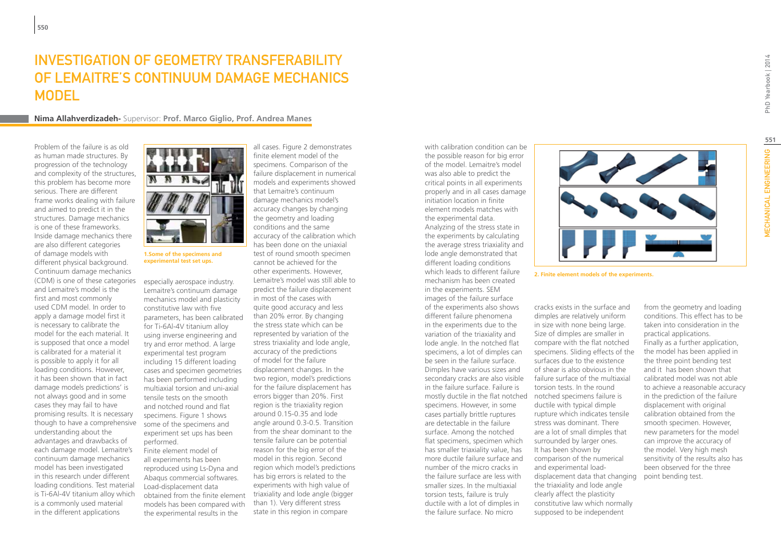# Investigation of geometry transferability of Lemaitre's continuum damage mechanics **MODEL**

**Nima Allahverdizadeh-** Supervisor: **Prof. Marco Giglio, Prof. Andrea Manes**

Problem of the failure is as old as human made structures. By progression of the technology and complexity of the structures, this problem has become more serious. There are different frame works dealing with failure and aimed to predict it in the structures. Damage mechanics is one of these frameworks. Inside damage mechanics there are also different categories of damage models with different physical background. Continuum damage mechanics (CDM) is one of these categories and Lemaitre's model is the first and most commonly used CDM model. In order to apply a damage model first it is necessary to calibrate the model for the each material. It is supposed that once a model is calibrated for a material it is possible to apply it for all loading conditions. However, it has been shown that in fact damage models predictions' is not always good and in some cases they may fail to have promising results. It is necessary though to have a comprehensive understanding about the advantages and drawbacks of each damage model. Lemaitre's continuum damage mechanics model has been investigated in this research under different loading conditions. Test material is Ti-6Al-4V titanium alloy which is a commonly used material in the different applications



**1.Some of the specimens and experimental test set ups.**

especially aerospace industry. Lemaitre's continuum damage mechanics model and plasticity constitutive law with five parameters, has been calibrated for Ti-6Al-4V titanium alloy using inverse engineering and try and error method. A large experimental test program including 15 different loading cases and specimen geometries has been performed including multiaxial torsion and uni-axial tensile tests on the smooth and notched round and flat specimens. Figure 1 shows some of the specimens and experiment set ups has been performed. Finite element model of all experiments has been reproduced using Ls-Dyna and Abaqus commercial softwares. Load-displacement data obtained from the finite element

models has been compared with the experimental results in the

all cases. Figure 2 demonstrates finite element model of the specimens. Comparison of the failure displacement in numerical models and experiments showed that Lemaitre's continuum damage mechanics model's accuracy changes by changing the geometry and loading conditions and the same accuracy of the calibration which has been done on the uniaxial test of round smooth specimen cannot be achieved for the other experiments. However, Lemaitre's model was still able to predict the failure displacement in most of the cases with quite good accuracy and less than 20% error. By changing the stress state which can be represented by variation of the stress triaxiality and lode angle, accuracy of the predictions of model for the failure displacement changes. In the two region, model's predictions for the failure displacement has errors bigger than 20%. First region is the triaxiality region around 0.15-0.35 and lode angle around 0.3-0.5. Transition from the shear dominant to the tensile failure can be potential reason for the big error of the model in this region. Second region which model's predictions has big errors is related to the experiments with high value of triaxiality and lode angle (bigger than 1). Very different stress state in this region in compare

with calibration condition can be the possible reason for big error of the model. Lemaitre's model was also able to predict the critical points in all experiments properly and in all cases damage initiation location in finite element models matches with the experimental data. Analyzing of the stress state in the experiments by calculating the average stress triaxiality and lode angle demonstrated that different loading conditions which leads to different failure mechanism has been created in the experiments. SEM images of the failure surface of the experiments also shows different failure phenomena in the experiments due to the variation of the triaxiality and lode angle. In the notched flat specimens, a lot of dimples can be seen in the failure surface. Dimples have various sizes and secondary cracks are also visible in the failure surface. Failure is mostly ductile in the flat notched notched specimens failure is specimens. However, in some cases partially brittle ruptures are detectable in the failure surface. Among the notched flat specimens, specimen which has smaller triaxiality value, has more ductile failure surface and number of the micro cracks in the failure surface are less with smaller sizes. In the multiaxial torsion tests, failure is truly ductile with a lot of dimples in the failure surface. No micro



**2. Finite element models of the experiments.**

cracks exists in the surface and dimples are relatively uniform in size with none being large. Size of dimples are smaller in compare with the flat notched specimens. Sliding effects of the surfaces due to the existence of shear is also obvious in the failure surface of the multiaxial torsion tests. In the round ductile with typical dimple rupture which indicates tensile stress was dominant. There are a lot of small dimples that surrounded by larger ones. It has been shown by comparison of the numerical and experimental loaddisplacement data that changing the triaxiality and lode angle clearly affect the plasticity constitutive law which normally supposed to be independent

from the geometry and loading conditions. This effect has to be taken into consideration in the practical applications. Finally as a further application, the model has been applied in the three point bending test and it has been shown that calibrated model was not able to achieve a reasonable accuracy in the prediction of the failure displacement with original calibration obtained from the smooth specimen. However, new parameters for the model can improve the accuracy of the model. Very high mesh sensitivity of the results also has been observed for the three point bending test.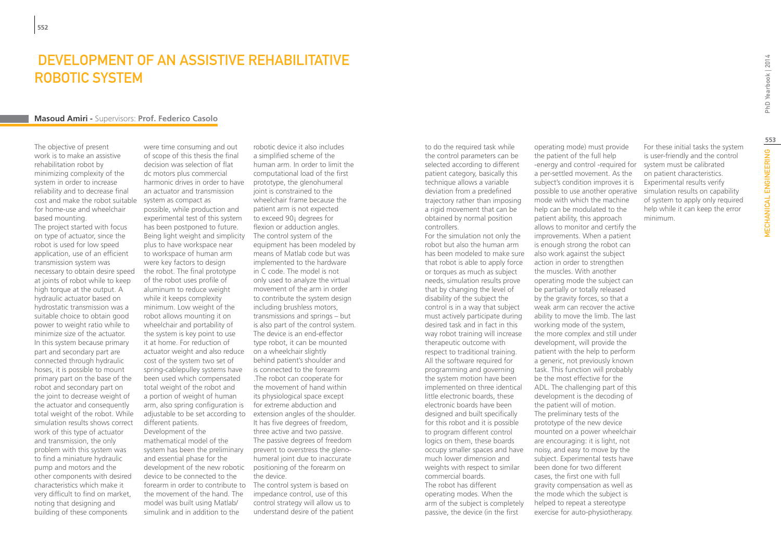### DEVELOPMENT OF AN ASSISTIVE REHABILITATIVE ROBOTIC SYSTEM

#### **Masoud Amiri -** Supervisors: **Prof. Federico Casolo**

The objective of present work is to make an assistive rehabilitation robot by minimizing complexity of the system in order to increase reliability and to decrease final cost and make the robot suitable for home-use and wheelchair based mounting. The project started with focus

on type of actuator, since the robot is used for low speed application, use of an efficient transmission system was necessary to obtain desire speed at joints of robot while to keep high torque at the output. A hydraulic actuator based on hydrostatic transmission was a suitable choice to obtain good power to weight ratio while to minimize size of the actuator. In this system because primary part and secondary part are connected through hydraulic hoses, it is possible to mount primary part on the base of the robot and secondary part on the joint to decrease weight of the actuator and consequently total weight of the robot. While simulation results shows correct work of this type of actuator and transmission, the only problem with this system was to find a miniature hydraulic pump and motors and the other components with desired characteristics which make it very difficult to find on market, noting that designing and building of these components

were time consuming and out of scope of this thesis the final decision was selection of flat dc motors plus commercial harmonic drives in order to have an actuator and transmission system as compact as possible, while production and experimental test of this system has been postponed to future. Being light weight and simplicity plus to have workspace near to workspace of human arm were key factors to design the robot. The final prototype of the robot uses profile of aluminum to reduce weight while it keeps complexity minimum. Low weight of the robot allows mounting it on wheelchair and portability of the system is key point to use it at home. For reduction of actuator weight and also reduce cost of the system two set of spring-cablepulley systems have been used which compensated total weight of the robot and a portion of weight of human arm, also spring configuration is adjustable to be set according to different patients. Development of the mathematical model of the system has been the preliminary and essential phase for the development of the new robotic device to be connected to the forearm in order to contribute to the movement of the hand. The model was built using Matlab/ simulink and in addition to the

robotic device it also includes a simplified scheme of the human arm. In order to limit the computational load of the first prototype, the glenohumeral joint is constrained to the wheelchair frame because the patient arm is not expected to exceed 90¡ degrees for flexion or adduction angles. The control system of the equipment has been modeled by means of Matlab code but was implemented to the hardware in C code. The model is not only used to analyze the virtual movement of the arm in order to contribute the system design including brushless motors, transmissions and springs – but is also part of the control system. The device is an end-effector type robot, it can be mounted on a wheelchair slightly behind patient's shoulder and is connected to the forearm .The robot can cooperate for the movement of hand within its physiological space except for extreme abduction and extension angles of the shoulder. It has five degrees of freedom, three active and two passive. The passive degrees of freedom prevent to overstress the glenohumeral joint due to inaccurate positioning of the forearm on the device. The control system is based on

impedance control, use of this control strategy will allow us to understand desire of the patient to do the required task while the control parameters can be selected according to different patient category, basically this technique allows a variable deviation from a predefined trajectory rather than imposing a rigid movement that can be obtained by normal position controllers.

For the simulation not only the robot but also the human arm has been modeled to make sure that robot is able to apply force or torques as much as subject needs, simulation results prove that by changing the level of disability of the subject the control is in a way that subject must actively participate during desired task and in fact in this way robot training will increase therapeutic outcome with respect to traditional training. All the software required for programming and governing the system motion have been implemented on three identical little electronic boards, these electronic boards have been designed and built specifically for this robot and it is possible to program different control logics on them, these boards occupy smaller spaces and have much lower dimension and weights with respect to similar commercial boards. The robot has different operating modes. When the arm of the subject is completely passive, the device (in the first

operating mode) must provide the patient of the full help -energy and control -required for a per-settled movement. As the subject's condition improves it is possible to use another operative mode with which the machine help can be modulated to the

For these initial tasks the system is user-friendly and the control system must be calibrated on patient characteristics. Experimental results verify simulation results on capability of system to apply only required help while it can keep the error minimum.

patient ability, this approach allows to monitor and certify the improvements. When a patient is enough strong the robot can also work against the subject action in order to strengthen the muscles. With another operating mode the subject can be partially or totally released by the gravity forces, so that a weak arm can recover the active ability to move the limb. The last working mode of the system, the more complex and still under development, will provide the patient with the help to perform a generic, not previously known task. This function will probably be the most effective for the ADL. The challenging part of this development is the decoding of the patient will of motion. The preliminary tests of the prototype of the new device mounted on a power wheelchair are encouraging: it is light, not noisy, and easy to move by the subject. Experimental tests have been done for two different cases, the first one with full gravity compensation as well as the mode which the subject is helped to repeat a stereotype exercise for auto-physiotherapy.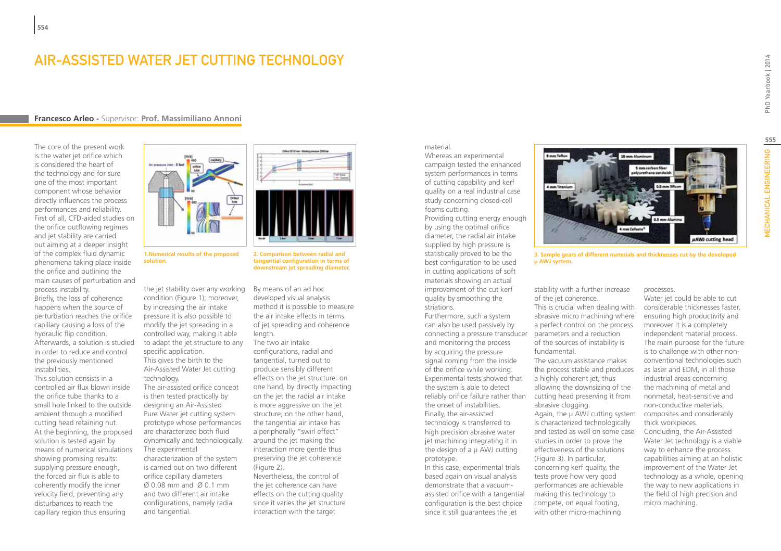### Air-Assisted Water Jet Cutting Technology

#### **Francesco Arleo -** Supervisor: **Prof. Massimiliano Annoni**

The core of the present work is the water jet orifice which is considered the heart of the technology and for sure one of the most important component whose behavior directly influences the process performances and reliability. First of all, CFD-aided studies on the orifice outflowing regimes and jet stability are carried out aiming at a deeper insight of the complex fluid dynamic phenomena taking place inside the orifice and outlining the main causes of perturbation and process instability. Briefly, the loss of coherence happens when the source of perturbation reaches the orifice capillary causing a loss of the hydraulic flip condition. Afterwards, a solution is studied in order to reduce and control the previously mentioned instabilities.

This solution consists in a controlled air flux blown inside the orifice tube thanks to a small hole linked to the outside ambient through a modified cutting head retaining nut. At the beginning, the proposed solution is tested again by means of numerical simulations showing promising results: supplying pressure enough, the forced air flux is able to coherently modify the inner velocity field, preventing any disturbances to reach the capillary region thus ensuring



**solution.**

the jet stability over any working By means of an ad hoc condition (Figure 1); moreover, by increasing the air intake pressure it is also possible to modify the jet spreading in a controlled way, making it able to adapt the jet structure to any specific application. This gives the birth to the Air-Assisted Water Jet cutting technology. The air-assisted orifice concept

is then tested practically by designing an Air-Assisted Pure Water jet cutting system prototype whose performances are characterized both fluid dynamically and technologically. The experimental

characterization of the system is carried out on two different orifice capillary diameters Ø 0.08 mm and Ø 0.1 mm and two different air intake configurations, namely radial and tangential.



**1.Numerical results of the proposed** 

**2. Comparison between radial and tangential configuration in terms of downstream jet spreading diameter.**

developed visual analysis method it is possible to measure the air intake effects in terms of jet spreading and coherence length.

The two air intake configurations, radial and tangential, turned out to produce sensibly different effects on the jet structure: on one hand, by directly impacting on the jet the radial air intake is more aggressive on the jet structure; on the other hand, the tangential air intake has a peripherally "swirl effect" around the jet making the interaction more gentle thus preserving the jet coherence (Figure 2).

Nevertheless, the control of the jet coherence can have effects on the cutting quality since it varies the jet structure interaction with the target

#### material.

Whereas an experimental campaign tested the enhanced system performances in terms of cutting capability and kerf quality on a real industrial case study concerning closed-cell foams cutting.

Providing cutting energy enough by using the optimal orifice diameter, the radial air intake supplied by high pressure is statistically proved to be the best configuration to be used in cutting applications of soft materials showing an actual improvement of the cut kerf quality by smoothing the striations.

Furthermore, such a system can also be used passively by connecting a pressure transducer parameters and a reduction and monitoring the process by acquiring the pressure signal coming from the inside of the orifice while working. Experimental tests showed that the system is able to detect the onset of instabilities. Finally, the air-assisted technology is transferred to high precision abrasive water jet machining integrating it in the design of a μ AWJ cutting prototype.

In this case, experimental trials based again on visual analysis demonstrate that a vacuumassisted orifice with a tangential configuration is the best choice since it still guarantees the jet

**HAWJ** cutting head

**3. Sample gears of different materials and thicknesses cut by the developed μ AWJ system.**

stability with a further increase of the jet coherence.

This is crucial when dealing with abrasive micro machining where a perfect control on the process of the sources of instability is fundamental.

reliably orifice failure rather than cutting head preserving it from The vacuum assistance makes the process stable and produces a highly coherent jet, thus allowing the downsizing of the abrasive clogging. Again, the μ AWJ cutting system is characterized technologically and tested as well on some case studies in order to prove the effectiveness of the solutions (Figure 3). In particular, concerning kerf quality, the tests prove how very good performances are achievable making this technology to compete, on equal footing, with other micro-machining

processes.

Water jet could be able to cut considerable thicknesses faster, ensuring high productivity and moreover it is a completely independent material process. The main purpose for the future is to challenge with other nonconventional technologies such as laser and EDM, in all those industrial areas concerning the machining of metal and nonmetal, heat-sensitive and non-conductive materials, composites and considerably thick workpieces. Concluding, the Air-Assisted Water Jet technology is a viable way to enhance the process capabilities aiming at an holistic improvement of the Water Jet technology as a whole, opening the way to new applications in the field of high precision and micro machining.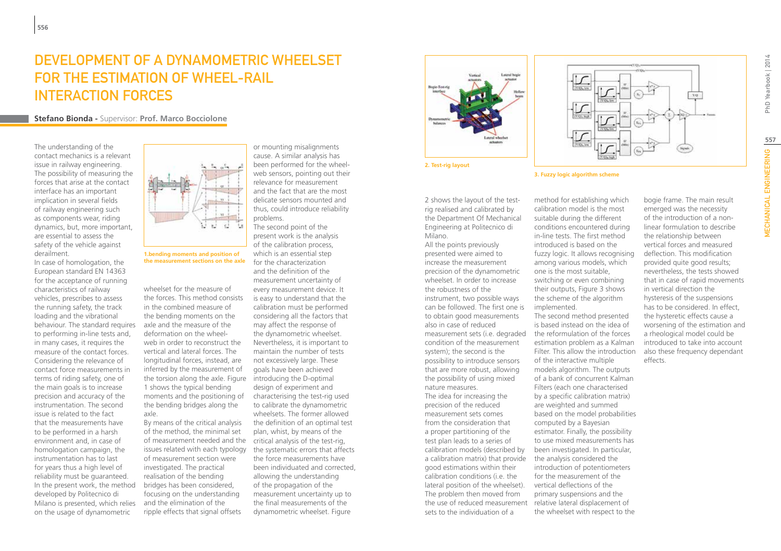# DEVELOPMENT OF A DYNAMOMETRIC WHEEL SET for the estimation of wheel-rail interaction forces

**Stefano Bionda -** Supervisor: **Prof. Marco Bocciolone**

The understanding of the contact mechanics is a relevant issue in railway engineering. The possibility of measuring the forces that arise at the contact interface has an important implication in several fields of railway engineering such as components wear, riding dynamics, but, more important, are essential to assess the safety of the vehicle against derailment.

In case of homologation, the European standard EN 14363 for the acceptance of running characteristics of railway vehicles, prescribes to assess the running safety, the track loading and the vibrational behaviour. The standard requires to performing in-line tests and, in many cases, it requires the measure of the contact forces. Considering the relevance of contact force measurements in terms of riding safety, one of the main goals is to increase precision and accuracy of the instrumentation. The second issue is related to the fact that the measurements have to be performed in a harsh environment and, in case of homologation campaign, the instrumentation has to last for years thus a high level of reliability must be guaranteed. In the present work, the method developed by Politecnico di Milano is presented, which relies on the usage of dynamometric



**1.bending moments and position of the measurement sections on the axle**

wheelset for the measure of the forces. This method consists in the combined measure of the bending moments on the axle and the measure of the deformation on the wheelweb in order to reconstruct the vertical and lateral forces. The longitudinal forces, instead, are inferred by the measurement of the torsion along the axle. Figure introducing the D-optimal 1 shows the typical bending moments and the positioning of the bending bridges along the axle.

By means of the critical analysis of the method, the minimal set of measurement needed and the critical analysis of the test-rig, issues related with each typology of measurement section were investigated. The practical realisation of the bending bridges has been considered, focusing on the understanding and the elimination of the ripple effects that signal offsets

or mounting misalignments cause. A similar analysis has been performed for the wheelweb sensors, pointing out their relevance for measurement and the fact that are the most delicate sensors mounted and thus, could introduce reliability problems.

The second point of the present work is the analysis of the calibration process, which is an essential step for the characterization and the definition of the measurement uncertainty of every measurement device. It is easy to understand that the calibration must be performed considering all the factors that may affect the response of the dynamometric wheelset. Nevertheless, it is important to maintain the number of tests not excessively large. These goals have been achieved design of experiment and characterising the test-rig used to calibrate the dynamometric wheelsets. The former allowed the definition of an optimal test plan, whist, by means of the the systematic errors that affects the force measurements have been individuated and corrected, allowing the understanding of the propagation of the measurement uncertainty up to the final measurements of the dynamometric wheelset. Figure





2 shows the layout of the testrig realised and calibrated by the Department Of Mechanical Engineering at Politecnico di Milano.

All the points previously presented were aimed to increase the measurement precision of the dynamometric wheelset. In order to increase the robustness of the instrument, two possible ways can be followed. The first one is to obtain good measurements also in case of reduced measurement sets (i.e. degraded the reformulation of the forces condition of the measurement system); the second is the possibility to introduce sensors that are more robust, allowing the possibility of using mixed nature measures. The idea for increasing the precision of the reduced measurement sets comes from the consideration that a proper partitioning of the test plan leads to a series of calibration models (described by a calibration matrix) that provide good estimations within their calibration conditions (i.e. the lateral position of the wheelset). The problem then moved from the use of reduced measurement relative lateral displacement of sets to the individuation of a



**3. Fuzzy logic algorithm scheme**

method for establishing which calibration model is the most suitable during the different conditions encountered during in-line tests. The first method introduced is based on the fuzzy logic. It allows recognising among various models, which one is the most suitable, switching or even combining their outputs, Figure 3 shows the scheme of the algorithm implemented. The second method presented

is based instead on the idea of estimation problem as a Kalman Filter. This allow the introduction of the interactive multiple models algorithm. The outputs of a bank of concurrent Kalman Filters (each one characterised by a specific calibration matrix) are weighted and summed based on the model probabilities computed by a Bayesian estimator. Finally, the possibility to use mixed measurements has been investigated. In particular, the analysis considered the introduction of potentiometers for the measurement of the vertical deflections of the primary suspensions and the the wheelset with respect to the

bogie frame. The main result emerged was the necessity of the introduction of a nonlinear formulation to describe the relationship between vertical forces and measured deflection. This modification provided quite good results; nevertheless, the tests showed that in case of rapid movements in vertical direction the hysteresis of the suspensions has to be considered. In effect, the hysteretic effects cause a worsening of the estimation and a rheological model could be introduced to take into account also these frequency dependant effects.

PhD Yearbook | 2014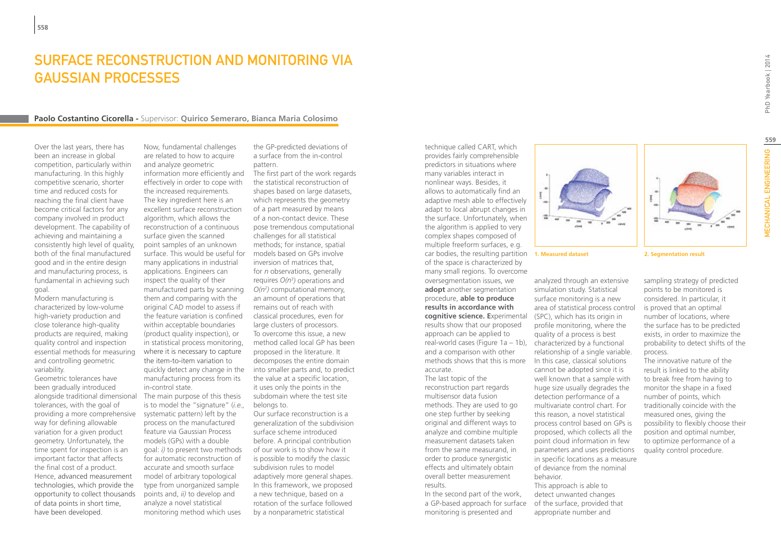## SURFACE RECONSTRUCTION AND MONITORING VIA GAUSSIAN PROCESSES

#### **Paolo Costantino Cicorella -** Supervisor: **Quirico Semeraro, Bianca Maria Colosimo**

Over the last years, there has been an increase in global competition, particularly within manufacturing. In this highly competitive scenario, shorter time and reduced costs for reaching the final client have become critical factors for any company involved in product development. The capability of achieving and maintaining a consistently high level of quality, both of the final manufactured good and in the entire design and manufacturing process, is fundamental in achieving such goal.

Modern manufacturing is characterized by low-volume high-variety production and close tolerance high-quality products are required, making quality control and inspection essential methods for measuring and controlling geometric variability.

Geometric tolerances have been gradually introduced alongside traditional dimensional tolerances, with the goal of providing a more comprehensive way for defining allowable variation for a given product geometry. Unfortunately, the time spent for inspection is an important factor that affects the final cost of a product. Hence, advanced measurement technologies, which provide the opportunity to collect thousands of data points in short time, have been developed.

Now, fundamental challenges are related to how to acquire and analyze geometric information more efficiently and effectively in order to cope with the increased requirements. The key ingredient here is an excellent surface reconstruction algorithm, which allows the reconstruction of a continuous surface given the scanned point samples of an unknown surface. This would be useful for models based on GPs involve many applications in industrial applications. Engineers can inspect the quality of their manufactured parts by scanning them and comparing with the original CAD model to assess if the feature variation is confined within acceptable boundaries (product quality inspection), or in statistical process monitoring, where it is necessary to capture the item-to-item variation to quickly detect any change in the manufacturing process from its in-control state. The main purpose of this thesis is to model the "signature" (*i.e.,*

systematic pattern) left by the process on the manufactured feature via Gaussian Process models (GPs) with a double goal: *i)* to present two methods for automatic reconstruction of accurate and smooth surface model of arbitrary topological type from unorganized sample points and, *ii)* to develop and analyze a novel statistical monitoring method which uses the GP-predicted deviations of a surface from the in-control pattern.

The first part of the work regards the statistical reconstruction of shapes based on large datasets, which represents the geometry of a part measured by means of a non-contact device. These pose tremendous computational challenges for all statistical methods; for instance, spatial inversion of matrices that, for *n* observations, generally requires *O(n3 )* operations and *O(n2 )* computational memory, an amount of operations that remains out of reach with classical procedures, even for large clusters of processors. To overcome this issue, a new method called local GP has been proposed in the literature. It decomposes the entire domain into smaller parts and, to predict the value at a specific location, it uses only the points in the subdomain where the test site belongs to.

Our surface reconstruction is a generalization of the subdivision surface scheme introduced before. A principal contribution of our work is to show how it is possible to modify the classic subdivision rules to model adaptively more general shapes. In this framework, we proposed a new technique, based on a rotation of the surface followed by a nonparametric statistical

technique called CART, which provides fairly comprehensible predictors in situations where many variables interact in nonlinear ways. Besides, it allows to automatically find an adaptive mesh able to effectively adapt to local abrupt changes in the surface. Unfortunately, when the algorithm is applied to very complex shapes composed of multiple freeform surfaces, e.g. car bodies, the resulting partition **1. Measured dataset 2. Segmentation result** of the space is characterized by many small regions. To overcome oversegmentation issues, we **adopt** another segmentation procedure, **able to produce results in accordance with cognitive science. E**xperimental (SPC), which has its origin in results show that our proposed approach can be applied to real-world cases (Figure 1a – 1b), characterized by a functional and a comparison with other methods shows that this is more accurate.

The last topic of the reconstruction part regards multisensor data fusion methods. They are used to go one step further by seeking original and different ways to analyze and combine multiple measurement datasets taken from the same measurand, in order to produce synergistic effects and ultimately obtain overall better measurement results.

In the second part of the work, a GP-based approach for surface of the surface, provided that monitoring is presented and

analyzed through an extensive simulation study. Statistical surface monitoring is a new area of statistical process control

profile monitoring, where the quality of a process is best

relationship of a single variable. In this case, classical solutions cannot be adopted since it is well known that a sample with huge size usually degrades the detection performance of a multivariate control chart. For this reason, a novel statistical process control based on GPs is proposed, which collects all the point cloud information in few parameters and uses predictions in specific locations as a measure of deviance from the nominal

behavior.

This approach is able to detect unwanted changes

appropriate number and

sampling strategy of predicted points to be monitored is considered. In particular, it is proved that an optimal number of locations, where the surface has to be predicted exists, in order to maximize the probability to detect shifts of the process.

The innovative nature of the result is linked to the ability to break free from having to monitor the shape in a fixed number of points, which traditionally coincide with the measured ones, giving the possibility to flexibly choose their position and optimal number, to optimize performance of a quality control procedure.

PhD Yearbook | 2014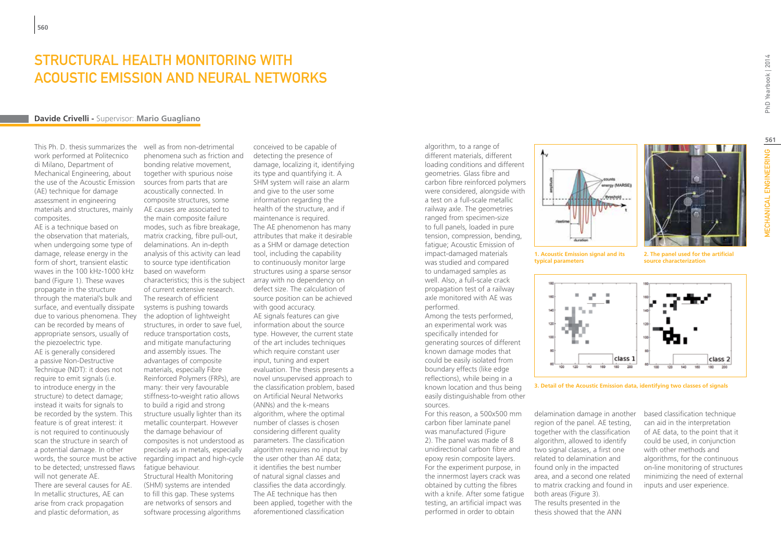### STRUCTURAL HEALTH MONITORING WITH Acoustic Emission and Neural Networks

#### **Davide Crivelli -** Supervisor: **Mario Guagliano**

This Ph. D. thesis summarizes the well as from non-detrimental work performed at Politecnico di Milano, Department of Mechanical Engineering, about the use of the Acoustic Emission (AE) technique for damage assessment in engineering materials and structures, mainly composites.

AE is a technique based on the observation that materials, when undergoing some type of damage, release energy in the form of short, transient elastic waves in the 100 kHz-1000 kHz band (Figure 1). These waves propagate in the structure through the material's bulk and surface, and eventually dissipate due to various phenomena. They can be recorded by means of appropriate sensors, usually of the piezoelectric type. AE is generally considered a passive Non-Destructive Technique (NDT): it does not require to emit signals (i.e. to introduce energy in the structure) to detect damage; instead it waits for signals to be recorded by the system. This feature is of great interest: it is not required to continuously scan the structure in search of a potential damage. In other words, the source must be active to be detected; unstressed flaws will not generate AE. There are several causes for AE.

In metallic structures, AE can arise from crack propagation and plastic deformation, as

phenomena such as friction and bonding relative movement, together with spurious noise sources from parts that are acoustically connected. In composite structures, some AE causes are associated to the main composite failure modes, such as fibre breakage, matrix cracking, fibre pull-out, delaminations. An in-depth analysis of this activity can lead to source type identification based on waveform characteristics; this is the subject of current extensive research. The research of efficient systems is pushing towards the adoption of lightweight structures, in order to save fuel, reduce transportation costs, and mitigate manufacturing and assembly issues. The advantages of composite materials, especially Fibre Reinforced Polymers (FRPs), are many: their very favourable stiffness-to-weight ratio allows to build a rigid and strong structure usually lighter than its metallic counterpart. However the damage behaviour of composites is not understood as precisely as in metals, especially regarding impact and high-cycle fatigue behaviour. Structural Health Monitoring

(SHM) systems are intended to fill this gap. These systems are networks of sensors and software processing algorithms

conceived to be capable of detecting the presence of damage, localizing it, identifying its type and quantifying it. A SHM system will raise an alarm and give to the user some information regarding the health of the structure, and if maintenance is required. The AE phenomenon has many attributes that make it desirable as a SHM or damage detection tool, including the capability to continuously monitor large structures using a sparse sensor array with no dependency on defect size. The calculation of source position can be achieved with good accuracy. AE signals features can give information about the source type. However, the current state of the art includes techniques which require constant user input, tuning and expert evaluation. The thesis presents a novel unsupervised approach to the classification problem, based on Artificial Neural Networks (ANNs) and the k-means algorithm, where the optimal number of classes is chosen considering different quality parameters. The classification algorithm requires no input by the user other than AE data; it identifies the best number of natural signal classes and classifies the data accordingly. The AE technique has then been applied, together with the aforementioned classification

algorithm, to a range of different materials, different loading conditions and different geometries. Glass fibre and carbon fibre reinforced polymers were considered, alongside with a test on a full-scale metallic railway axle. The geometries ranged from specimen-size to full panels, loaded in pure tension, compression, bending, fatigue; Acoustic Emission of impact-damaged materials was studied and compared to undamaged samples as well. Also, a full-scale crack propagation test of a railway axle monitored with AE was performed. Among the tests performed,

an experimental work was specifically intended for generating sources of different known damage modes that could be easily isolated from boundary effects (like edge reflections), while being in a known location and thus being easily distinguishable from other sources.

For this reason, a 500x500 mm carbon fiber laminate panel was manufactured (Figure 2). The panel was made of 8 unidirectional carbon fibre and epoxy resin composite layers. For the experiment purpose, in the innermost layers crack was obtained by cutting the fibres with a knife. After some fatigue testing, an artificial impact was performed in order to obtain



**1. Acoustic Emission signal and its typical parameters**

**2. The panel used for the artificial source characterization**



**3. Detail of the Acoustic Emission data, identifying two classes of signals**

delamination damage in another region of the panel. AE testing, together with the classification algorithm, allowed to identify two signal classes, a first one related to delamination and found only in the impacted area, and a second one related to matrix cracking and found in both areas (Figure 3). The results presented in the thesis showed that the ANN

based classification technique can aid in the interpretation of AE data, to the point that it could be used, in conjunction with other methods and algorithms, for the continuous on-line monitoring of structures minimizing the need of external inputs and user experience.

**At The Second Street**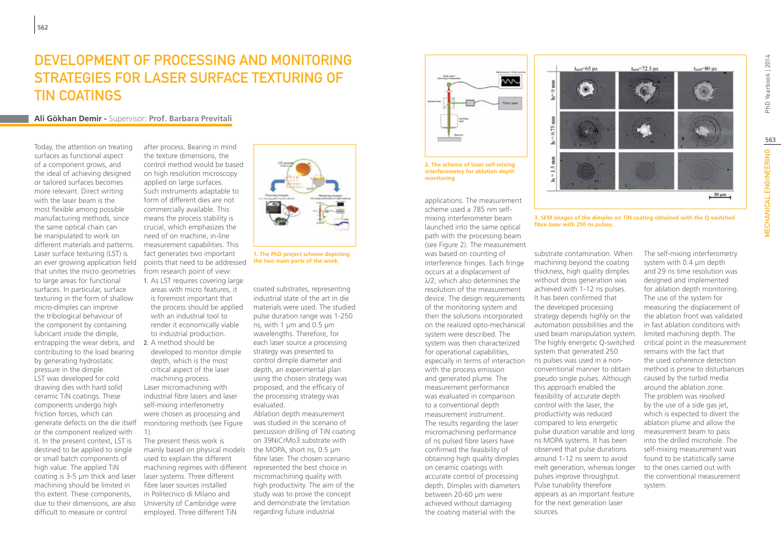# Development of Processing and Monitoring Strategies for Laser Surface Texturing of **TIN COATINGS**

### **Ali Gökhan Demir -** Supervisor: **Prof. Barbara Previtali**

Today, the attention on treating surfaces as functional aspect of a component grows, and the ideal of achieving designed or tailored surfaces becomes more relevant. Direct writing with the laser beam is the most flexible among possible manufacturing methods, since the same optical chain can be manipulated to work on different materials and patterns. Laser surface texturing (LST) is an ever growing application field that unites the micro geometries to large areas for functional surfaces. In particular, surface texturing in the form of shallow micro-dimples can improve the tribological behaviour of the component by containing lubricant inside the dimple, entrapping the wear debris, and contributing to the load bearing by generating hydrostatic pressure in the dimple. LST was developed for cold drawing dies with hard solid ceramic TiN coatings. These components undergo high friction forces, which can generate defects on the die itself or the component realized with it. In the present context, LST is destined to be applied to single or small batch components of high value. The applied TiN coating is 3-5 µm thick and laser machining should be limited in this extent. These components, due to their dimensions, are also difficult to measure or control

after process. Bearing in mind the texture dimensions, the control method would be based on high resolution microscopy applied on large surfaces. Such instruments adaptable to form of different dies are not commercially available. This means the process stability is crucial, which emphasizes the need of on machine, in-line measurement capabilities. This fact generates two important points that need to be addressed from research point of view: 1. As LST requires covering large areas with micro features, it is foremost important that the process should be applied with an industrial tool to render it economically viable to industrial production. 2. A method should be developed to monitor dimple depth, which is the most critical aspect of the laser machining process. Laser micromachining with industrial fibre lasers and laser self-mixing interferometry were chosen as processing and monitoring methods (see Figure 1).

The present thesis work is mainly based on physical models the MOPA, short ns, 0.5  $\mu$ m used to explain the different machining regimes with different represented the best choice in laser systems. Three different fibre laser sources installed in Politecnico di Milano and University of Cambridge were employed. Three different TiN



**1. The PhD project scheme depicting the two main parts of the work.**

coated substrates, representing industrial state of the art in die materials were used. The studied pulse duration range was 1-250 ns, with 1 µm and 0.5 µm wavelengths. Therefore, for each laser source a processing strategy was presented to control dimple diameter and depth, an experimental plan using the chosen strategy was proposed, and the efficacy of the processing strategy was evaluated. Ablation depth measurement was studied in the scenario of percussion drilling of TiN coating on 39NiCrMo3 substrate with fibre laser. The chosen scenario micromachining quality with high productivity. The aim of the study was to prove the concept and demonstrate the limitation regarding future industrial



**2. The scheme of laser self-mixing interferometry for ablation depth monitoring**

applications. The measurement scheme used a 785 nm selfmixing interferometer beam launched into the same optical path with the processing beam (see Figure 2). The measurement was based on counting of interference fringes. Each fringe occurs at a displacement of λ/2, which also determines the resolution of the measurement device. The design requirements of the monitoring system and then the solutions incorporated on the realized opto-mechanical system were described. The system was then characterized for operational capabilities, especially in terms of interaction with the process emission and generated plume. The measurement performance was evaluated in comparison to a conventional depth measurement instrument. The results regarding the laser micromachining performance of ns pulsed fibre lasers have confirmed the feasibility of obtaining high quality dimples on ceramic coatings with accurate control of processing depth. Dimples with diameters between 20-60 µm were achieved without damaging the coating material with the



**3. SEM images of the dimples on TiN coating obtained with the Q-switched fibre laser with 250 ns pulses.**

substrate contamination. When machining beyond the coating thickness, high quality dimples without dross generation was achieved with 1-12 ns pulses. It has been confirmed that the developed processing strategy depends highly on the automation possibilities and the used beam manipulation system. The highly energetic Q-switched system that generated 250 ns pulses was used in a nonconventional manner to obtain pseudo single pulses. Although this approach enabled the feasibility of accurate depth control with the laser, the productivity was reduced compared to less energetic pulse duration variable and long ns MOPA systems. It has been observed that pulse durations around 1-12 ns seem to avoid melt generation, whereas longer pulses improve throughput. Pulse tunability therefore appears as an important feature for the next generation laser sources.

The self-mixing interferometry system with 0.4 µm depth and 29 ns time resolution was designed and implemented for ablation depth monitoring. The use of the system for measuring the displacement of the ablation front was validated in fast ablation conditions with limited machining depth. The critical point in the measurement remains with the fact that the used coherence detection method is prone to disturbances caused by the turbid media around the ablation zone. The problem was resolved by the use of a side gas jet, which is expected to divert the ablation plume and allow the measurement beam to pass into the drilled microhole. The self-mixing measurement was found to be statistically same to the ones carried out with the conventional measurement system.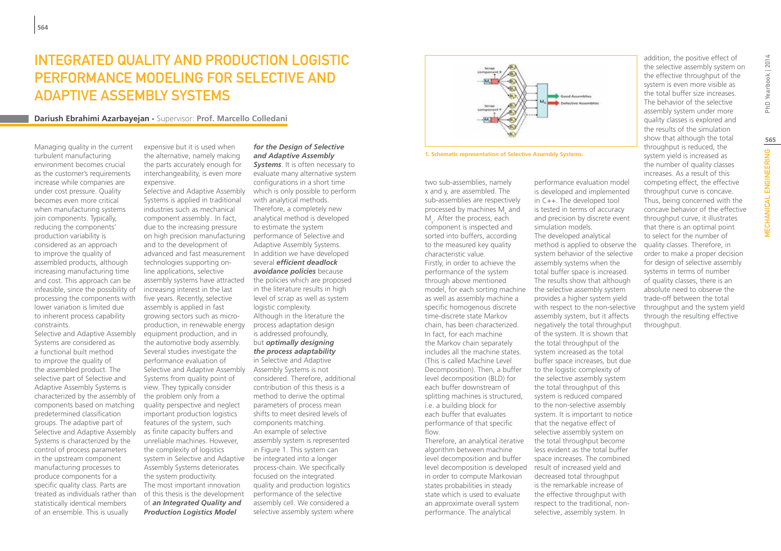# INTEGRATED QUALITY AND PRODUCTION LOGISTIC PERFORMANCE MODELING FOR SELECTIVE AND ADAPTIVE ASSEMBLY SYSTEMS

### **Dariush Ebrahimi Azarbayejan -** Supervisor: **Prof. Marcello Colledani**

Managing quality in the current turbulent manufacturing environment becomes crucial as the customer's requirements increase while companies are under cost pressure. Quality becomes even more critical when manufacturing systems join components. Typically, reducing the components' production variability is considered as an approach to improve the quality of assembled products, although increasing manufacturing time and cost. This approach can be infeasible, since the possibility of processing the components with lower variation is limited due to inherent process capability constraints.

Selective and Adaptive Assembly Systems are considered as a functional built method to improve the quality of the assembled product. The selective part of Selective and Adaptive Assembly Systems is characterized by the assembly of components based on matching predetermined classification groups. The adaptive part of Selective and Adaptive Assembly Systems is characterized by the control of process parameters in the upstream component manufacturing processes to produce components for a specific quality class. Parts are treated as individuals rather than statistically identical members of an ensemble. This is usually

expensive but it is used when the alternative, namely making the parts accurately enough for interchangeability, is even more expensive.

Selective and Adaptive Assembly Systems is applied in traditional industries such as mechanical component assembly.. In fact, due to the increasing pressure on high precision manufacturing and to the development of advanced and fast measurement In addition we have developed technologies supporting online applications, selective assembly systems have attracted increasing interest in the last five years. Recently, selective assembly is applied in fast growing sectors such as microproduction, in renewable energy equipment production, and in the automotive body assembly. Several studies investigate the performance evaluation of Selective and Adaptive Assembly Systems from quality point of view. They typically consider the problem only from a quality perspective and neglect important production logistics features of the system, such as finite capacity buffers and unreliable machines. However, the complexity of logistics system in Selective and Adaptive Assembly Systems deteriorates the system productivity. The most important innovation of this thesis is the development of *an Integrated Quality and Production Logistics Model* 

#### *for the Design of Selective and Adaptive Assembly*

**Systems**. It is often necessary to evaluate many alternative system configurations in a short time which is only possible to perform with analytical methods. Therefore, a completely new analytical method is developed to estimate the system performance of Selective and Adaptive Assembly Systems. several *efficient deadlock avoidance policies* because the policies which are proposed in the literature results in high level of scrap as well as system logistic complexity. Although in the literature the process adaptation design is addressed profoundly, but *optimally designing the process adaptability* in Selective and Adaptive Assembly Systems is not considered. Therefore, additional contribution of this thesis is a method to derive the optimal parameters of process mean shifts to meet desired levels of components matching. An example of selective assembly system is represented in Figure 1. This system can be integrated into a longer process-chain. We specifically focused on the integrated quality and production logistics performance of the selective assembly cell. We considered a selective assembly system where



**1. Schematic representation of Selective Assembly Systems.**

two sub-assemblies, namely x and y, are assembled. The sub-assemblies are respectively processed by machines  $M_{x}$  and M<sub>y</sub>. After the process, each component is inspected and sorted into buffers, according to the measured key quality characteristic value. Firstly, in order to achieve the performance of the system through above mentioned model, for each sorting machine as well as assembly machine a specific homogenous discrete time-discrete state Markov chain, has been characterized. In fact, for each machine the Markov chain separately includes all the machine states. (This is called Machine Level Decomposition). Then, a buffer level decomposition (BLD) for each buffer downstream of splitting machines is structured, i.e. a building block for each buffer that evaluates performance of that specific flow

Therefore, an analytical iterative algorithm between machine level decomposition and buffer level decomposition is developed result of increased yield and in order to compute Markovian states probabilities in steady state which is used to evaluate an approximate overall system performance. The analytical

performance evaluation model is developed and implemented in C++. The developed tool is tested in terms of accuracy and precision by discrete event simulation models. The developed analytical method is applied to observe the system behavior of the selective assembly systems when the total buffer space is increased. The results show that although the selective assembly system provides a higher system yield with respect to the non-selective assembly system, but it affects negatively the total throughput of the system. It is shown that the total throughput of the system increased as the total buffer space increases, but due to the logistic complexity of the selective assembly system the total throughput of this system is reduced compared to the non-selective assembly system. It is important to notice that the negative effect of selective assembly system on the total throughput become less evident as the total buffer space increases. The combined decreased total throughput is the remarkable increase of the effective throughput with

respect to the traditional, nonselective, assembly system. In

the selective assembly system on the effective throughput of the system is even more visible as the total buffer size increases. The behavior of the selective assembly system under more quality classes is explored and the results of the simulation show that although the total throughput is reduced, the system yield is increased as the number of quality classes increases. As a result of this competing effect, the effective throughput curve is concave. Thus, being concerned with the concave behavior of the effective throughput curve, it illustrates that there is an optimal point to select for the number of quality classes. Therefore, in order to make a proper decision for design of selective assembly systems in terms of number of quality classes, there is an absolute need to observe the trade-off between the total throughput and the system yield through the resulting effective throughput.

addition, the positive effect of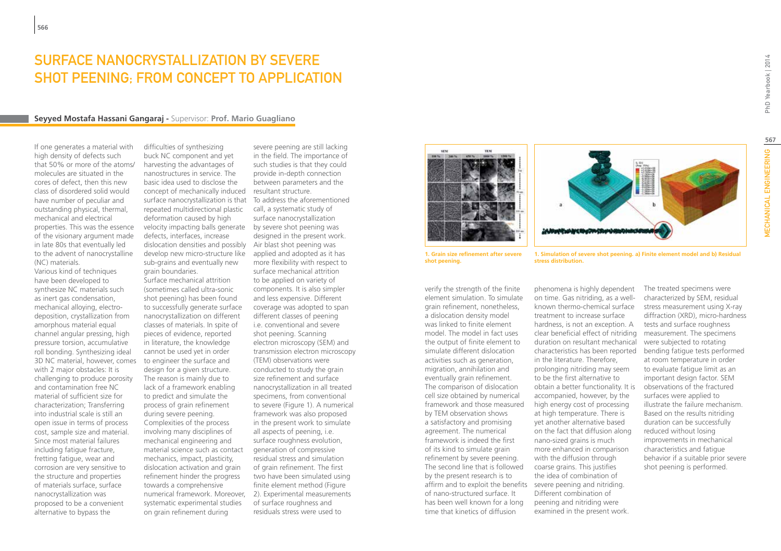### SURFACE NANOCRYSTALLIZATION BY SEVERE SHOT PEENING; FROM CONCEPT TO APPLICATION

#### **Seyyed Mostafa Hassani Gangaraj -** Supervisor: **Prof. Mario Guagliano**

If one generates a material with high density of defects such that 50% or more of the atoms/ molecules are situated in the cores of defect, then this new class of disordered solid would have number of peculiar and outstanding physical, thermal, mechanical and electrical properties. This was the essence of the visionary argument made in late 80s that eventually led to the advent of nanocrystalline (NC) materials.

Various kind of techniques have been developed to synthesize NC materials such as inert gas condensation, mechanical alloying, electrodeposition, crystallization from amorphous material equal channel angular pressing, high pressure torsion, accumulative roll bonding. Synthesizing ideal 3D NC material, however, comes with 2 major obstacles: It is challenging to produce porosity and contamination free NC material of sufficient size for characterization; Transferring into industrial scale is still an open issue in terms of process cost, sample size and material. Since most material failures including fatigue fracture, fretting fatigue, wear and corrosion are very sensitive to the structure and properties of materials surface, surface nanocrystallization was proposed to be a convenient alternative to bypass the

difficulties of synthesizing buck NC component and yet harvesting the advantages of nanostructures in service. The basic idea used to disclose the concept of mechanically induced resultant structure. surface nanocrystallization is that repeated multidirectional plastic deformation caused by high velocity impacting balls generate by severe shot peening was defects, interfaces, increase dislocation densities and possibly Air blast shot peening was develop new micro-structure like sub-grains and eventually new grain boundaries.

Surface mechanical attrition (sometimes called ultra-sonic shot peening) has been found to successfully generate surface nanocrystallization on different classes of materials. In spite of pieces of evidence, reported in literature, the knowledge cannot be used yet in order to engineer the surface and design for a given structure. The reason is mainly due to lack of a framework enabling to predict and simulate the process of grain refinement during severe peening. Complexities of the process involving many disciplines of mechanical engineering and material science such as contact mechanics, impact, plasticity, dislocation activation and grain refinement hinder the progress towards a comprehensive systematic experimental studies on grain refinement during

severe peening are still lacking in the field. The importance of such studies is that they could provide in-depth connection between parameters and the

numerical framework. Moreover, 2). Experimental measurements To address the aforementioned call, a systematic study of surface nanocrystallization designed in the present work. applied and adopted as it has more flexibility with respect to surface mechanical attrition to be applied on variety of components. It is also simpler and less expensive. Different coverage was adopted to span different classes of peening i.e. conventional and severe shot peening. Scanning electron microscopy (SEM) and transmission electron microscopy (TEM) observations were conducted to study the grain size refinement and surface nanocrystallization in all treated specimens, from conventional to severe (Figure 1). A numerical framework was also proposed in the present work to simulate all aspects of peening, i.e. surface roughness evolution, generation of compressive residual stress and simulation of grain refinement. The first two have been simulated using finite element method (Figure of surface roughness and residuals stress were used to





**1. Grain size refinement after severe shot peening.**

verify the strength of the finite element simulation. To simulate grain refinement, nonetheless, a dislocation density model was linked to finite element model. The model in fact uses the output of finite element to simulate different dislocation activities such as generation, migration, annihilation and eventually grain refinement. The comparison of dislocation cell size obtained by numerical framework and those measured by TEM observation shows a satisfactory and promising agreement. The numerical framework is indeed the first of its kind to simulate grain refinement by severe peening. The second line that is followed by the present research is to affirm and to exploit the benefits severe peening and nitriding. of nano-structured surface. It has been well known for a long time that kinetics of diffusion

**1. Simulation of severe shot peening. a) Finite element model and b) Residual stress distribution.**

phenomena is highly dependent on time. Gas nitriding, as a wellknown thermo-chemical surface treatment to increase surface hardness, is not an exception. A clear beneficial effect of nitriding duration on resultant mechanical characteristics has been reported in the literature. Therefore, prolonging nitriding may seem to be the first alternative to obtain a better functionality. It is accompanied, however, by the high energy cost of processing at high temperature. There is yet another alternative based on the fact that diffusion along nano-sized grains is much more enhanced in comparison with the diffusion through coarse grains. This justifies the idea of combination of Different combination of peening and nitriding were examined in the present work.

The treated specimens were characterized by SEM, residual stress measurement using X-ray diffraction (XRD), micro-hardness tests and surface roughness measurement. The specimens were subjected to rotating bending fatigue tests performed at room temperature in order to evaluate fatigue limit as an important design factor. SEM observations of the fractured surfaces were applied to illustrate the failure mechanism. Based on the results nitriding duration can be successfully reduced without losing improvements in mechanical characteristics and fatigue behavior if a suitable prior severe shot peening is performed.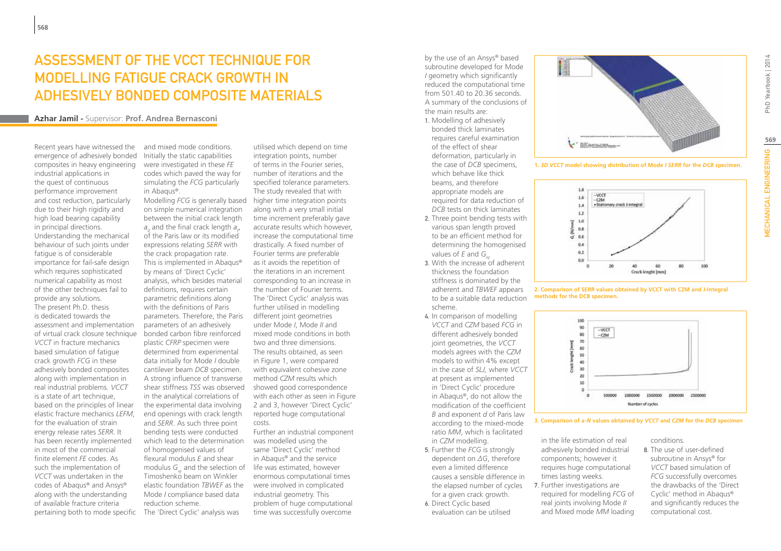## Assessment of the VCCT technique for modelling fatigue crack growth in adhesively bonded composite materials

#### **Azhar Jamil -** Supervisor: **Prof. Andrea Bernasconi**

Recent years have witnessed the emergence of adhesively bonded composites in heavy engineering industrial applications in the quest of continuous performance improvement and cost reduction, particularly due to their high rigidity and high load bearing capability in principal directions. Understanding the mechanical behaviour of such joints under fatigue is of considerable importance for fail-safe design which requires sophisticated numerical capability as most of the other techniques fail to provide any solutions. The present Ph.D. thesis is dedicated towards the assessment and implementation of virtual crack closure technique *VCCT* in fracture mechanics based simulation of fatigue crack growth *FCG* in these adhesively bonded composites along with implementation in real industrial problems. *VCCT* is a state of art technique, based on the principles of linear elastic fracture mechanics *LEFM*, for the evaluation of strain energy release rates *SERR*. It has been recently implemented in most of the commercial finite element *FE* codes. As such the implementation of *VCCT* was undertaken in the codes of Abaqus® and Ansys® along with the understanding of available fracture criteria pertaining both to mode specific

and mixed mode conditions. Initially the static capabilities were investigated in these *FE* codes which paved the way for simulating the *FCG* particularly in Abaqus®.

Modelling *FCG* is generally based on simple numerical integration between the initial crack length  $a_o$  and the final crack length  $a_\mu$ of the Paris law or its modified expressions relating *SERR* with the crack propagation rate. This is implemented in Abaqus® by means of 'Direct Cyclic' analysis, which besides material definitions, requires certain parametric definitions along with the definitions of Paris parameters. Therefore, the Paris parameters of an adhesively bonded carbon fibre reinforced plastic *CFRP* specimen were determined from experimental data initially for Mode *I* double cantilever beam *DCB* specimen. A strong influence of transverse shear stiffness *TSS* was observed in the analytical correlations of the experimental data involving end openings with crack length and *SERR*. As such three point bending tests were conducted which lead to the determination of homogenised values of flexural modulus *E* and shear modulus G<sub>xy</sub> and the selection of life was estimated, however Timoshenko beam on Winkler elastic foundation *TBWEF* as the Mode *I* compliance based data reduction scheme.

The 'Direct Cyclic' analysis was

utilised which depend on time integration points, number of terms in the Fourier series, number of iterations and the specified tolerance parameters. The study revealed that with higher time integration points along with a very small initial time increment preferably gave accurate results which however, increase the computational time drastically. A fixed number of Fourier terms are preferable as it avoids the repetition of the iterations in an increment corresponding to an increase in the number of Fourier terms. The 'Direct Cyclic' analysis was further utilised in modelling different joint geometries under Mode *I*, Mode *II* and mixed mode conditions in both two and three dimensions. The results obtained, as seen in Figure 1, were compared with equivalent cohesive zone method *CZM* results which showed good correspondence with each other as seen in Figure 2 and 3, however 'Direct Cyclic' reported huge computational costs.

Further an industrial component was modelled using the same 'Direct Cyclic' method in Abaqus® and the service enormous computational times were involved in complicated industrial geometry. This problem of huge computational time was successfully overcome

by the use of an Ansys® based subroutine developed for Mode *I* geometry which significantly reduced the computational time from 501.40 to 20.36 seconds. A summary of the conclusions of the main results are:

- 1. Modelling of adhesively bonded thick laminates requires careful examination of the effect of shear deformation, particularly in the case of *DCB* specimens, which behave like thick beams, and therefore appropriate models are required for data reduction of *DCB* tests on thick laminates
- 2. Three point bending tests with various span length proved to be an efficient method for determining the homogenised values of *E* and *G<sub>xx</sub>*
- 3. With the increase of adherent thickness the foundation stiffness is dominated by the adherent and *TBWEF* appears to be a suitable data reduction scheme.
- 4. In comparison of modelling *VCCT* and *CZM* based *FCG* in different adhesively bonded joint geometries, the *VCCT*  models agrees with the *CZM*  models to within 4% except in the case of *SLJ,* where *VCCT*  at present as implemented in 'Direct Cyclic' procedure in Abaqus®, do not allow the modification of the coefficient *B* and exponent *d* of Paris law according to the mixed-mode ratio *MM*, which is facilitated in *CZM* modelling.
- 5. Further the *FCG* is strongly dependent on *ΔG*, therefore even a limited difference causes a sensible difference in the elapsed number of cycles for a given crack growth.
- 6. Direct Cyclic based evaluation can be utilised



**1.** *3D VCCT* **model showing distribution of Mode** *I SERR* **for the** *DCB* **specimen.**



**2. Comparison of SERR values obtained by VCCT with CZM and J-Integral methods for the DCB specimen.**



**3. Comparison of** *a-N* **values obtained by** *VCCT* **and** *CZM* **for the** *DCB* **specimen**

in the life estimation of real adhesively bonded industrial components; however it requires huge computational times lasting weeks. 7. Further investigations are

required for modelling *FCG* of real joints involving Mode *II*  and Mixed mode *MM* loading conditions.

8. The use of user-defined subroutine in Ansys® for *VCCT* based simulation of *FCG* successfully overcomes the drawbacks of the 'Direct Cyclic' method in Abaqus® and significantly reduces the computational cost.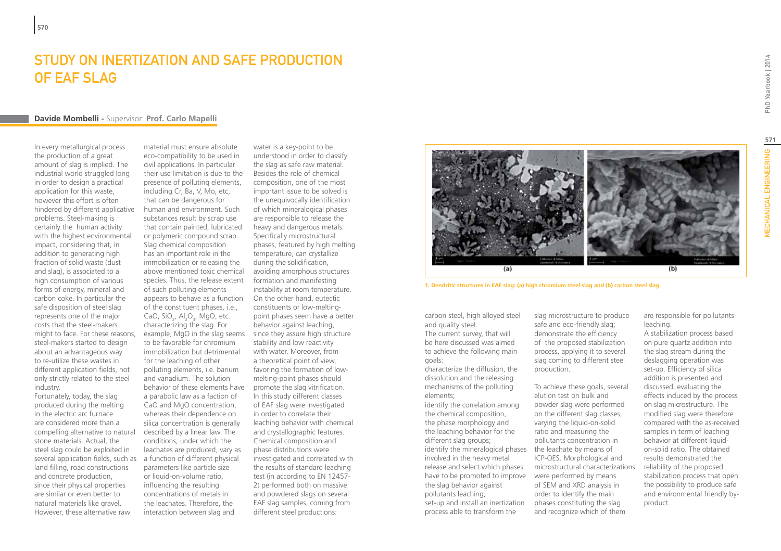## Study on inertization and safe production of EAF slag

#### **Davide Mombelli -** Supervisor: **Prof. Carlo Mapelli**

In every metallurgical process the production of a great amount of slag is implied. The industrial world struggled long in order to design a practical application for this waste, however this effort is often hindered by different applicative problems. Steel-making is certainly the human activity with the highest environmental impact, considering that, in addition to generating high fraction of solid waste (dust and slag), is associated to a high consumption of various forms of energy, mineral and carbon coke. In particular the safe disposition of steel slag represents one of the major costs that the steel-makers might to face. For these reasons, steel-makers started to design about an advantageous way to re-utilize these wastes in different application fields, not only strictly related to the steel industry.

Fortunately, today, the slag produced during the melting in the electric arc furnace are considered more than a compelling alternative to natural stone materials. Actual, the steel slag could be exploited in several application fields, such as land filling, road constructions and concrete production, since their physical properties are similar or even better to natural materials like gravel. However, these alternative raw

material must ensure absolute eco-compatibility to be used in civil applications. In particular their use limitation is due to the presence of polluting elements, including Cr, Ba, V, Mo, etc, that can be dangerous for human and environment. Such substances result by scrap use that contain painted, lubricated or polymeric compound scrap. Slag chemical composition has an important role in the immobilization or releasing the above mentioned toxic chemical species. Thus, the release extent of such polluting elements appears to behave as a function of the constituent phases, i.e., CaO, SiO<sub>2</sub>, Al<sub>2</sub>O<sub>3</sub>, MgO, etc. characterizing the slag. For example, MgO in the slag seems since they assure high structure to be favorable for chromium immobilization but detrimental for the leaching of other polluting elements, i.e. barium and vanadium. The solution behavior of these elements have promote the slag vitrification. a parabolic law as a faction of CaO and MgO concentration, whereas their dependence on silica concentration is generally described by a linear law. The conditions, under which the leachates are produced, vary as a function of different physical parameters like particle size or liquid-on-volume ratio, influencing the resulting concentrations of metals in the leachates. Therefore, the interaction between slag and

water is a key-point to be understood in order to classify the slag as safe raw material. Besides the role of chemical composition, one of the most important issue to be solved is the unequivocally identification of which mineralogical phases are responsible to release the heavy and dangerous metals. Specifically microstructural phases, featured by high melting temperature, can crystallize during the solidification, avoiding amorphous structures formation and manifesting instability at room temperature. On the other hand, eutectic constituents or low-meltingpoint phases seem have a better behavior against leaching, stability and low reactivity with water. Moreover, from a theoretical point of view, favoring the formation of lowmelting-point phases should In this study different classes of EAF slag were investigated in order to correlate their leaching behavior with chemical and crystallographic features. Chemical composition and phase distributions were investigated and correlated with the results of standard leaching test (in according to EN 12457- 2) performed both on massive and powdered slags on several EAF slag samples, coming from different steel productions:



**1. Dendritic structures in EAF slag: (a) high chromium steel slag and (b) carbon steel slag.**

carbon steel, high alloyed steel and quality steel. The current survey, that will be here discussed was aimed to achieve the following main goals:

characterize the diffusion, the dissolution and the releasing mechanisms of the polluting elements;

identify the correlation among the chemical composition, the phase morphology and the leaching behavior for the different slag groups; identify the mineralogical phases the leachate by means of involved in the heavy metal release and select which phases have to be promoted to improve were performed by means the slag behavior against pollutants leaching; set-up and install an inertization process able to transform the

slag microstructure to produce safe and eco-friendly slag; demonstrate the efficiency of the proposed stabilization process, applying it to several slag coming to different steel production.

To achieve these goals, several elution test on bulk and powder slag were performed on the different slag classes, varying the liquid-on-solid ratio and measuring the pollutants concentration in ICP-OES. Morphological and microstructural characterizations of SEM and XRD analysis in order to identify the main phases constituting the slag and recognize which of them

A stabilization process based on pure quartz addition into the slag stream during the deslagging operation was set-up. Efficiency of silica addition is presented and discussed, evaluating the effects induced by the process on slag microstructure. The modified slag were therefore compared with the as-received samples in term of leaching behavior at different liquidon-solid ratio. The obtained results demonstrated the reliability of the proposed stabilization process that open the possibility to produce safe and environmental friendly by-

are responsible for pollutants

leaching.

product.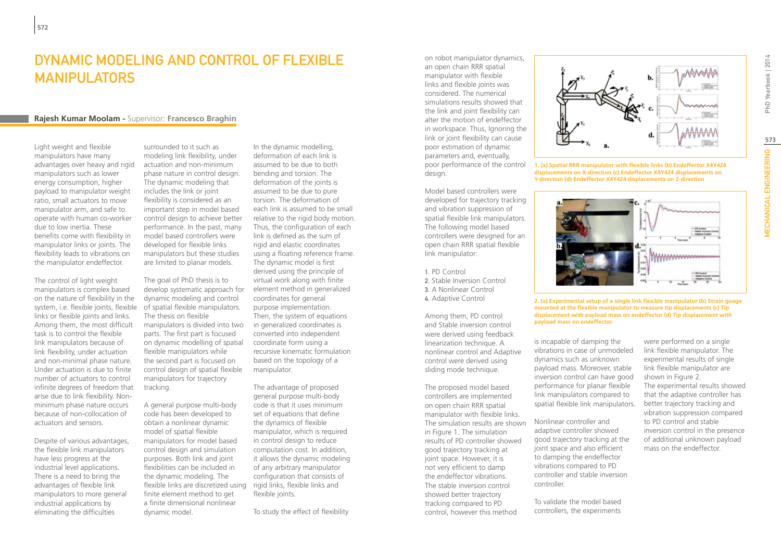### DYNAMIC MODELING AND CONTROL OF FLEXIBLE MANIPULATORS

#### **Rajesh Kumar Moolam -** Supervisor: **Francesco Braghin**

Light weight and flexible manipulators have many advantages over heavy and rigid manipulators such as lower energy consumption, higher payload to manipulator weight ratio, small actuators to move manipulator arm, and safe to operate with human co-worker due to low inertia. These benefits come with flexibility in manipulator links or joints. The flexibility leads to vibrations on the manipulator endeffector.

The control of light weight manipulators is complex based on the nature of flexibility in the system, i.e. flexible joints, flexible links or flexible joints and links. Among them, the most difficult task is to control the flexible link manipulators because of link flexibility, under actuation and non-minimal phase nature. Under actuation is due to finite number of actuators to control infinite degrees of freedom that arise due to link flexibility. Nonminimum phase nature occurs because of non-collocation of actuators and sensors.

Despite of various advantages, the flexible link manipulators have less progress at the industrial level applications. There is a need to bring the advantages of flexible link manipulators to more general industrial applications by eliminating the difficulties

surrounded to it such as modeling link flexibility, under actuation and non-minimum phase nature in control design. The dynamic modeling that includes the link or joint flexibility is considered as an important step in model based control design to achieve better performance. In the past, many model based controllers were developed for flexible links manipulators but these studies are limited to planar models.

The goal of PhD thesis is to develop systematic approach for dynamic modeling and control of spatial flexible manipulators. The thesis on flexible manipulators is divided into two parts. The first part is focused on dynamic modelling of spatial flexible manipulators while the second part is focused on control design of spatial flexible manipulators for trajectory tracking.

A general purpose multi-body code has been developed to obtain a nonlinear dynamic model of spatial flexible manipulators for model based control design and simulation purposes. Both link and joint flexibilities can be included in the dynamic modeling. The flexible links are discretized using finite element method to get a finite dimensional nonlinear dynamic model.

In the dynamic modelling, deformation of each link is assumed to be due to both bending and torsion. The deformation of the joints is assumed to be due to pure torsion. The deformation of each link is assumed to be small relative to the rigid body motion. Thus, the configuration of each link is defined as the sum of rigid and elastic coordinates using a floating reference frame. The dynamic model is first derived using the principle of virtual work along with finite element method in generalized coordinates for general purpose implementation. Then, the system of equations in generalized coordinates is converted into independent coordinate form using a recursive kinematic formulation based on the topology of a manipulator.

The advantage of proposed general purpose multi-body code is that it uses minimum set of equations that define the dynamics of flexible manipulator, which is required in control design to reduce computation cost. In addition, it allows the dynamic modeling of any arbitrary manipulator configuration that consists of rigid links, flexible links and flexible joints.

To study the effect of flexibility

on robot manipulator dynamics, an open chain RRR spatial manipulator with flexible links and flexible joints was considered. The numerical simulations results showed that the link and joint flexibility can alter the motion of endeffector in workspace. Thus, Ignoring the link or joint flexibility can cause poor estimation of dynamic parameters and, eventually, poor performance of the control design.

Model based controllers were developed for trajectory tracking and vibration suppression of spatial flexible link manipulators. The following model based controllers were designed for an open chain RRR spatial flexible link manipulator:

1. PD Control 2. Stable Inversion Control 3. A Nonlinear Control 4. Adaptive Control

Among them, PD control and Stable inversion control were derived using feedback linearization technique. A nonlinear control and Adaptive control were derived using sliding mode technique.

The proposed model based controllers are implemented on open chain RRR spatial manipulator with flexible links. The simulation results are shown in Figure 1. The simulation results of PD controller showed good trajectory tracking at joint space. However, it is not very efficient to damp the endeffector vibrations. The stable inversion control showed better trajectory tracking compared to PD control, however this method



**1. (a) Spatial RRR manipulator with flexible links (b) Endeffector X4Y4Z4 displacements on X-direction (c) Endeffector X4Y4Z4 displacements on Y-direction (d) Endeffector X4Y4Z4 displacements on Z-direction**



**2. (a) Experimental setup of a single link flexible manipulator (b) Strain guage mounted at the flexible manipulator to measure tip displacements (c) Tip displacement with payload mass on endeffector (d) Tip displacement with payload mass on endeffector.**

is incapable of damping the vibrations in case of unmodeled dynamics such as unknown payload mass. Moreover, stable inversion control can have good performance for planar flexible link manipulators compared to spatial flexible link manipulators.

Nonlinear controller and adaptive controller showed good trajectory tracking at the joint space and also efficient to damping the endeffector vibrations compared to PD controller and stable inversion controller.

To validate the model based controllers, the experiments

were performed on a single link flexible manipulator. The experimental results of single link flexible manipulator are shown in Figure 2. The experimental results showed that the adaptive controller has better trajectory tracking and vibration suppression compared to PD control and stable inversion control in the presence of additional unknown payload mass on the endeffector.

PhD Yearbook | 2014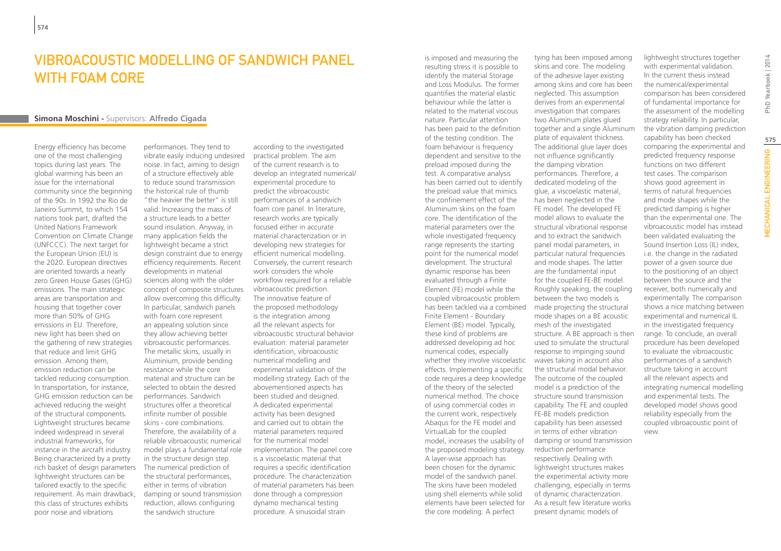# Vibroacoustic modelling of sandwich panel with foam core

### **Simona Moschini -** Supervisors: **Alfredo Cigada**

Energy efficiency has become one of the most challenging topics during last years. The global warming has been an issue for the international community since the beginning of the 90s. In 1992 the Rio de Janeiro Summit, to which 154 nations took part, drafted the United Nations Framework Convention on Climate Change (UNFCCC). The next target for the European Union (EU) is the 2020. European directives are oriented towards a nearly zero Green House Gases (GHG) emissions. The main strategic areas are transportation and housing that together cover more than 50% of GHG emissions in EU. Therefore, new light has been shed on the gathering of new strategies that reduce and limit GHG emission. Among them, emission reduction can be tackled reducing consumption. In transportation, for instance, GHG emission reduction can be achieved reducing the weight of the structural components. Lightweight structures became indeed widespread in several industrial frameworks, for instance in the aircraft industry. Being characterized by a pretty rich basket of design parameters lightweight structures can be tailored exactly to the specific requirement. As main drawback, this class of structures exhibits poor noise and vibrations

performances. They tend to vibrate easily inducing undesired noise. In fact, aiming to design of a structure effectively able to reduce sound transmission the historical rule of thumb "the heavier the better" is still valid. Increasing the mass of a structure leads to a better sound insulation. Anyway, in many application fields the lightweight became a strict design constraint due to energy efficiency requirements. Recent developments in material sciences along with the older concept of composite structures allow overcoming this difficulty. In particular, sandwich panels with foam core represent an appealing solution since they allow achieving better vibroacoustic performances. The metallic skins, usually in Aluminium, provide bending resistance while the core material and structure can be selected to obtain the desired performances. Sandwich structures offer a theoretical infinite number of possible skins - core combinations. Therefore, the availability of a reliable vibroacoustic numerical model plays a fundamental role in the structure design step. The numerical prediction of the structural performances, either in terms of vibration damping or sound transmission reduction, allows configuring the sandwich structure

according to the investigated practical problem. The aim of the current research is to develop an integrated numerical/ experimental procedure to predict the vibroacoustic performances of a sandwich foam core panel. In literature, research works are typically focused either in accurate material characterization or in developing new strategies for efficient numerical modelling. Conversely, the current research work considers the whole workflow required for a reliable vibroacoustic prediction. The innovative feature of the proposed methodology is the integration among all the relevant aspects for vibroacoustic structural behavior evaluation: material parameter identification, vibroacoustic numerical modelling and experimental validation of the modelling strategy. Each of the abovementioned aspects has been studied and designed. A dedicated experimental activity has been designed and carried out to obtain the material parameters required for the numerical model implementation. The panel core is a viscoelastic material that requires a specific identification procedure. The characterization of material parameters has been done through a compression dynamo mechanical testing procedure. A sinusoidal strain

is imposed and measuring the resulting stress it is possible to identify the material Storage and Loss Modulus. The former quantifies the material elastic behaviour while the latter is related to the material viscous nature. Particular attention has been paid to the definition of the testing condition. The foam behaviour is frequency dependent and sensitive to the preload imposed during the test. A comparative analysis has been carried out to identify the preload value that mimics the confinement effect of the Aluminum skins on the foam core. The identification of the material parameters over the whole investigated frequency range represents the starting point for the numerical model development. The structural dynamic response has been evaluated through a Finite Element (FE) model while the coupled vibroacoustic problem has been tackled via a combined Finite Element - Boundary Element (BE) model. Typically, these kind of problems are addressed developing ad hoc numerical codes, especially whether they involve viscoelastic effects. Implementing a specific code requires a deep knowledge of the theory of the selected numerical method. The choice of using commercial codes in the current work, respectively Abaqus for the FE model and VirtualLab for the coupled model, increases the usability of the proposed modeling strategy. A layer-wise approach has been chosen for the dynamic model of the sandwich panel. The skins have been modeled using shell elements while solid elements have been selected for the core modeling. A perfect

tying has been imposed among skins and core. The modeling of the adhesive layer existing among skins and core has been neglected. This assumption derives from an experimental investigation that compares two Aluminum plates glued together and a single Aluminum plate of equivalent thickness. The additional glue layer does not influence significantly the damping vibration performances. Therefore, a dedicated modeling of the glue, a viscoelastic material, has been neglected in the FE model. The developed FE model allows to evaluate the structural vibrational response and to extract the sandwich panel modal parameters, in particular natural frequencies and mode shapes. The latter are the fundamental input for the coupled FE-BE model. Roughly speaking, the coupling between the two models is made projecting the structural mode shapes on a BE acoustic mesh of the investigated structure. A BE approach is then used to simulate the structural response to impinging sound waves taking in account also the structural modal behavior. The outcome of the coupled model is a prediction of the structure sound transmission capability. The FE and coupled FE-BE models prediction capability has been assessed in terms of either vibration damping or sound transmission reduction performance respectively. Dealing with lightweight structures makes the experimental activity more challenging, especially in terms of dynamic characterization. As a result few literature works present dynamic models of

lightweight structures together with experimental validation. In the current thesis instead the numerical/experimental comparison has been considered of fundamental importance for the assessment of the modelling strategy reliability. In particular, the vibration damping prediction capability has been checked comparing the experimental and predicted frequency response functions on two different test cases. The comparison shows good agreement in terms of natural frequencies and mode shapes while the predicted damping is higher than the experimental one. The vibroacoustic model has instead been validated evaluating the Sound Insertion Loss (IL) index, i.e. the change in the radiated power of a given source due to the positioning of an object between the source and the receiver, both numerically and experimentally. The comparison shows a nice matching between experimental and numerical IL in the investigated frequency range. To conclude, an overall procedure has been developed to evaluate the vibroacoustic performances of a sandwich structure taking in account all the relevant aspects and integrating numerical modelling and experimental tests. The developed model shows good reliability especially from the coupled vibroacoustic point of view.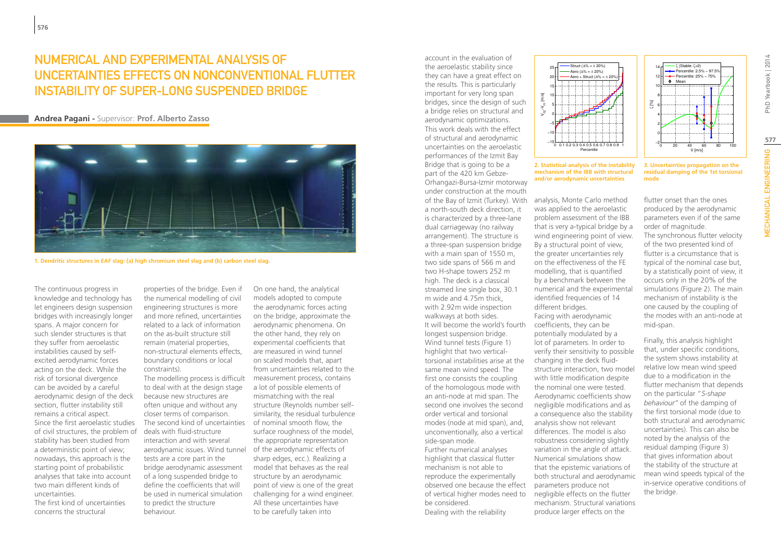### NUMERICAL AND EXPERIMENTAL ANALYSIS OF UNCERTAINTIES EFFECTS ON NONCONVENTIONAL FLUTTER INSTABILITY OF SUPER-LONG SUSPENDED BRIDGE

### **Andrea Pagani -** Supervisor: **Prof. Alberto Zasso**



**1. Dendritic structures in EAF slag: (a) high chromium steel slag and (b) carbon steel slag.**

The continuous progress in knowledge and technology has let engineers design suspension bridges with increasingly longer spans. A major concern for such slender structures is that they suffer from aeroelastic instabilities caused by selfexcited aerodynamic forces acting on the deck. While the risk of torsional divergence can be avoided by a careful aerodynamic design of the deck section, flutter instability still remains a critical aspect.

Since the first aeroelastic studies of civil structures, the problem of stability has been studied from a deterministic point of view; nowadays, this approach is the starting point of probabilistic analyses that take into account two main different kinds of uncertainties.

The first kind of uncertainties concerns the structural

properties of the bridge. Even if the numerical modelling of civil engineering structures is more and more refined, uncertainties related to a lack of information on the as-built structure still remain (material properties, non-structural elements effects, boundary conditions or local constraints).

to deal with at the design stage because new structures are often unique and without any closer terms of comparison. The second kind of uncertainties of nominal smooth flow, the deals with fluid-structure interaction and with several aerodynamic issues. Wind tunnel of the aerodynamic effects of tests are a core part in the bridge aerodynamic assessment of a long suspended bridge to define the coefficients that will be used in numerical simulation to predict the structure behaviour.

The modelling process is difficult measurement process, contains On one hand, the analytical models adopted to compute the aerodynamic forces acting on the bridge, approximate the aerodynamic phenomena. On the other hand, they rely on experimental coefficients that are measured in wind tunnel on scaled models that, apart from uncertainties related to the a lot of possible elements of mismatching with the real structure (Reynolds number selfsimilarity, the residual turbulence surface roughness of the model, the appropriate representation sharp edges, ecc.). Realizing a model that behaves as the real structure by an aerodynamic point of view is one of the great challenging for a wind engineer. All these uncertainties have to be carefully taken into

account in the evaluation of the aeroelastic stability since they can have a great effect on the results. This is particularly important for very long span bridges, since the design of such a bridge relies on structural and aerodynamic optimizations. This work deals with the effect of structural and aerodynamic uncertainties on the aeroelastic performances of the Izmit Bay Bridge that is going to be a part of the 420 km Gebze-Orhangazi-Bursa-Izmir motorway under construction at the mouth of the Bay of Izmit (Turkey). With analysis, Monte Carlo method a north-south deck direction, it is characterized by a three-lane dual carriageway (no railway arrangement). The structure is a three-span suspension bridge with a main span of 1550 m, two side spans of 566 m and two H-shape towers 252 m high. The deck is a classical streamed line single box, 30.1 m wide and 4.75m thick, with 2.92m wide inspection walkways at both sides. It will become the world's fourth longest suspension bridge. Wind tunnel tests (Figure 1) highlight that two verticaltorsional instabilities arise at the same mean wind speed. The first one consists the coupling of the homologous mode with an anti-node at mid span. The second one involves the second order vertical and torsional modes (node at mid span), and, unconventionally, also a vertical side-span mode. Further numerical analyses highlight that classical flutter mechanism is not able to reproduce the experimentally observed one because the effect of vertical higher modes need to

be considered. Dealing with the reliability



**2. Statistical analysis of the instability mechanism of the IBB with structural and/or aerodynamic uncertainties**

was applied to the aeroelastic problem assessment of the IBB that is very a-typical bridge by a wind engineering point of view. By a structural point of view, the greater uncertainties rely on the effectiveness of the FE modelling, that is quantified by a benchmark between the numerical and the experimental identified frequencies of 14 different bridges. Facing with aerodynamic coefficients, they can be potentially modulated by a lot of parameters. In order to verify their sensitivity to possible changing in the deck fluidstructure interaction, two model with little modification despite the nominal one were tested. Aerodynamic coefficients show negligible modifications and as a consequence also the stability analysis show not relevant differences. The model is also robustness considering slightly variation in the angle of attack. Numerical simulations show that the epistemic variations of both structural and aerodynamic parameters produce not negligible effects on the flutter mechanism. Structural variations produce larger effects on the

 $-20$  20 40 60 80 100 0 2 4 V [m/s]

ζ (Stable: ζ>0) Percentile: 2.5% − 97.5% **Percentile: 25% - 75%**  $\bullet$  Mean

ζ [%]

**3. Uncertainties propagation on the residual damping of the 1st torsional mode**

flutter onset than the ones produced by the aerodynamic parameters even if of the same order of magnitude. The synchronous flutter velocity of the two presented kind of flutter is a circumstance that is typical of the nominal case but, by a statistically point of view, it occurs only in the 20% of the simulations (Figure 2). The main mechanism of instability is the one caused by the coupling of the modes with an anti-node at mid-span.

Finally, this analysis highlight that, under specific conditions, the system shows instability at relative low mean wind speed due to a modification in the flutter mechanism that depends on the particular "*S-shape behaviour"* of the damping of the first torsional mode (due to both structural and aerodynamic uncertainties). This can also be noted by the analysis of the residual damping (Figure 3) that gives information about the stability of the structure at mean wind speeds typical of the in-service operative conditions of the bridge.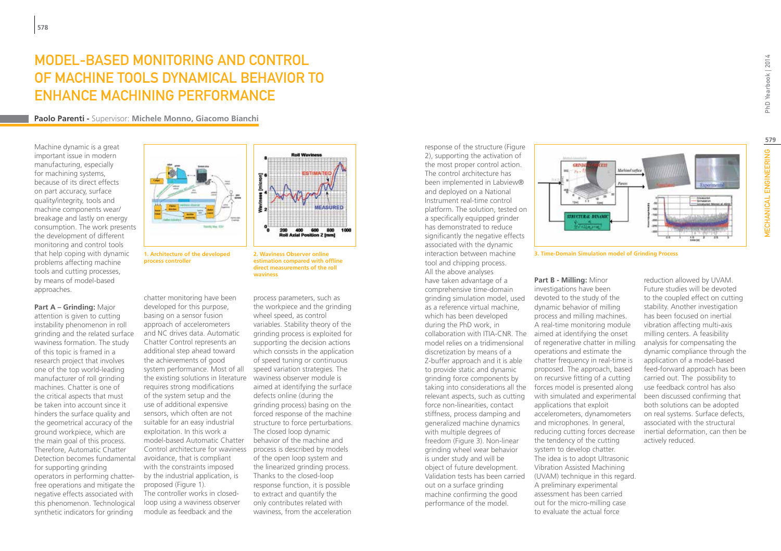# Model-Based monitoring and control of Machine Tools dynamical behavior to enhance machining performance

**Paolo Parenti -** Supervisor: **Michele Monno, Giacomo Bianchi**

Machine dynamic is a great important issue in modern manufacturing, especially for machining systems, because of its direct effects on part accuracy, surface quality/integrity, tools and machine components wear/ breakage and lastly on energy consumption. The work presents the development of different monitoring and control tools that help coping with dynamic problems affecting machine tools and cutting processes, by means of model-based approaches.

**Part A – Grinding:** Major attention is given to cutting instability phenomenon in roll grinding and the related surface waviness formation. The study of this topic is framed in a research project that involves one of the top world-leading manufacturer of roll grinding machines. Chatter is one of the critical aspects that must be taken into account since it hinders the surface quality and the geometrical accuracy of the ground workpiece, which are the main goal of this process. Therefore, Automatic Chatter Detection becomes fundamental for supporting grinding operators in performing chatterfree operations and mitigate the negative effects associated with this phenomenon. Technological synthetic indicators for grinding



**process controller**

chatter monitoring have been developed for this purpose, basing on a sensor fusion approach of accelerometers and NC drives data. Automatic Chatter Control represents an additional step ahead toward the achievements of good system performance. Most of all the existing solutions in literature waviness observer module is requires strong modifications of the system setup and the use of additional expensive sensors, which often are not suitable for an easy industrial exploitation. In this work a model-based Automatic Chatter Control architecture for waviness process is described by models avoidance, that is compliant with the constraints imposed by the industrial application, is proposed (Figure 1). The controller works in closedloop using a waviness observer module as feedback and the



process parameters, such as the workpiece and the grinding wheel speed, as control variables. Stability theory of the grinding process is exploited for supporting the decision actions which consists in the application of speed tuning or continuous speed variation strategies. The aimed at identifying the surface defects online (during the grinding process) basing on the forced response of the machine structure to force perturbations. The closed loop dynamic behavior of the machine and of the open loop system and the linearized grinding process. Thanks to the closed-loop response function, it is possible to extract and quantify the only contributes related with waviness, from the acceleration

response of the structure (Figure 2), supporting the activation of the most proper control action. The control architecture has been implemented in Labview® and deployed on a National Instrument real-time control platform. The solution, tested on a specifically equipped grinder has demonstrated to reduce significantly the negative effects associated with the dynamic interaction between machine tool and chipping process. All the above analyses have taken advantage of a comprehensive time-domain grinding simulation model, used as a reference virtual machine, which has been developed during the PhD work, in collaboration with ITIA-CNR. The aimed at identifying the onset model relies on a tridimensional discretization by means of a Z-buffer approach and it is able to provide static and dynamic grinding force components by taking into considerations all the relevant aspects, such as cutting force non-linearities, contact stiffness, process damping and generalized machine dynamics with multiple degrees of freedom (Figure 3). Non-linear grinding wheel wear behavior is under study and will be object of future development. Validation tests has been carried out on a surface grinding machine confirming the good performance of the model.



**1. Architecture of the developed 3. Time-Domain Simulation model of Grinding Process**

**Part B - Milling:** Minor investigations have been devoted to the study of the dynamic behavior of milling process and milling machines. A real-time monitoring module of regenerative chatter in milling operations and estimate the chatter frequency in real-time is proposed. The approach, based on recursive fitting of a cutting forces model is presented along with simulated and experimental applications that exploit accelerometers, dynamometers and microphones. In general, reducing cutting forces decrease the tendency of the cutting system to develop chatter. The idea is to adopt Ultrasonic Vibration Assisted Machining (UVAM) technique in this regard. A preliminary experimental assessment has been carried out for the micro-milling case to evaluate the actual force

reduction allowed by UVAM. Future studies will be devoted to the coupled effect on cutting stability. Another investigation has been focused on inertial vibration affecting multi-axis milling centers. A feasibility analysis for compensating the dynamic compliance through the application of a model-based feed-forward approach has been carried out. The possibility to use feedback control has also been discussed confirming that both solutions can be adopted on real systems. Surface defects, associated with the structural inertial deformation, can then be actively reduced.

**579**

**MECHANICAL ENGINEERING**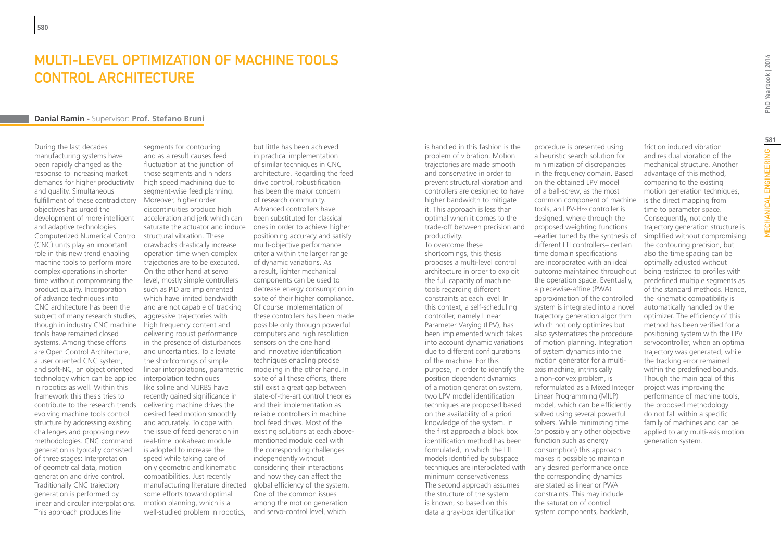### MUITI-LEVEL OPTIMIZATION OF MACHINE TOOLS CONTROL ARCHITECTURE

#### **Danial Ramin -** Supervisor: **Prof. Stefano Bruni**

During the last decades manufacturing systems have been rapidly changed as the response to increasing market demands for higher productivity and quality. Simultaneous fulfillment of these contradictory objectives has urged the development of more intelligent and adaptive technologies. Computerized Numerical Control (CNC) units play an important role in this new trend enabling machine tools to perform more complex operations in shorter time without compromising the product quality. Incorporation of advance techniques into CNC architecture has been the subject of many research studies, though in industry CNC machine tools have remained closed systems. Among these efforts are Open Control Architecture, a user oriented CNC system, and soft-NC, an object oriented technology which can be applied in robotics as well. Within this framework this thesis tries to contribute to the research trends evolving machine tools control structure by addressing existing challenges and proposing new methodologies. CNC command generation is typically consisted of three stages: Interpretation of geometrical data, motion generation and drive control. Traditionally CNC trajectory generation is performed by linear and circular interpolations. This approach produces line

segments for contouring and as a result causes feed fluctuation at the junction of those segments and hinders high speed machining due to segment-wise feed planning. Moreover, higher order discontinuities produce high acceleration and jerk which can saturate the actuator and induce structural vibration. These drawbacks drastically increase operation time when complex trajectories are to be executed. On the other hand at servo level, mostly simple controllers such as PID are implemented which have limited bandwidth and are not capable of tracking aggressive trajectories with high frequency content and delivering robust performance in the presence of disturbances and uncertainties. To alleviate the shortcomings of simple linear interpolations, parametric interpolation techniques like spline and NURBS have recently gained significance in delivering machine drives the desired feed motion smoothly and accurately. To cope with the issue of feed generation in real-time lookahead module is adopted to increase the speed while taking care of only geometric and kinematic compatibilities. Just recently manufacturing literature directed some efforts toward optimal motion planning, which is a

well-studied problem in robotics, and servo-control level, which but little has been achieved in practical implementation of similar techniques in CNC architecture. Regarding the feed drive control, robustification has been the major concern of research community. Advanced controllers have been substituted for classical ones in order to achieve higher positioning accuracy and satisfy multi-objective performance criteria within the larger range of dynamic variations. As a result, lighter mechanical components can be used to decrease energy consumption in spite of their higher compliance. Of course implementation of these controllers has been made possible only through powerful computers and high resolution sensors on the one hand and innovative identification techniques enabling precise modeling in the other hand. In spite of all these efforts, there still exist a great gap between state-of-the-art control theories and their implementation as reliable controllers in machine tool feed drives. Most of the existing solutions at each abovementioned module deal with the corresponding challenges independently without considering their interactions and how they can affect the global efficiency of the system. One of the common issues among the motion generation

is handled in this fashion is the problem of vibration. Motion trajectories are made smooth and conservative in order to prevent structural vibration and controllers are designed to have higher bandwidth to mitigate it. This approach is less than optimal when it comes to the trade-off between precision and productivity.

To overcome these shortcomings, this thesis proposes a multi-level control architecture in order to exploit the full capacity of machine tools regarding different constraints at each level. In this context, a self-scheduling controller, namely Linear Parameter Varying (LPV), has been implemented which takes into account dynamic variations due to different configurations of the machine. For this purpose, in order to identify the position dependent dynamics of a motion generation system, two LPV model identification techniques are proposed based on the availability of a priori knowledge of the system. In the first approach a block box identification method has been formulated, in which the LTI models identified by subspace techniques are interpolated with minimum conservativeness. The second approach assumes the structure of the system is known, so based on this data a gray-box identification

procedure is presented using a heuristic search solution for minimization of discrepancies in the frequency domain. Based on the obtained LPV model of a ball-screw, as the most common component of machine tools, an LPV-H∞ controller is designed, where through the proposed weighting functions –earlier tuned by the synthesis of different LTI controllers– certain time domain specifications are incorporated with an ideal outcome maintained throughout the operation space. Eventually, a piecewise-affine (PWA) approximation of the controlled system is integrated into a novel trajectory generation algorithm which not only optimizes but also systematizes the procedure of motion planning. Integration of system dynamics into the motion generator for a multiaxis machine, intrinsically a non-convex problem, is reformulated as a Mixed Integer Linear Programming (MILP) model, which can be efficiently solved using several powerful solvers. While minimizing time (or possibly any other objective function such as energy consumption) this approach makes it possible to maintain any desired performance once the corresponding dynamics are stated as linear or PWA constraints. This may include the saturation of control system components, backlash,

friction induced vibration and residual vibration of the mechanical structure. Another advantage of this method, comparing to the existing motion generation techniques, is the direct mapping from time to parameter space. Consequently, not only the trajectory generation structure is simplified without compromising the contouring precision, but also the time spacing can be optimally adjusted without being restricted to profiles with predefined multiple segments as of the standard methods. Hence, the kinematic compatibility is automatically handled by the optimizer. The efficiency of this method has been verified for a positioning system with the LPV servocontroller, when an optimal trajectory was generated, while the tracking error remained within the predefined bounds. Though the main goal of this project was improving the performance of machine tools, the proposed methodology do not fall within a specific family of machines and can be applied to any multi-axis motion generation system.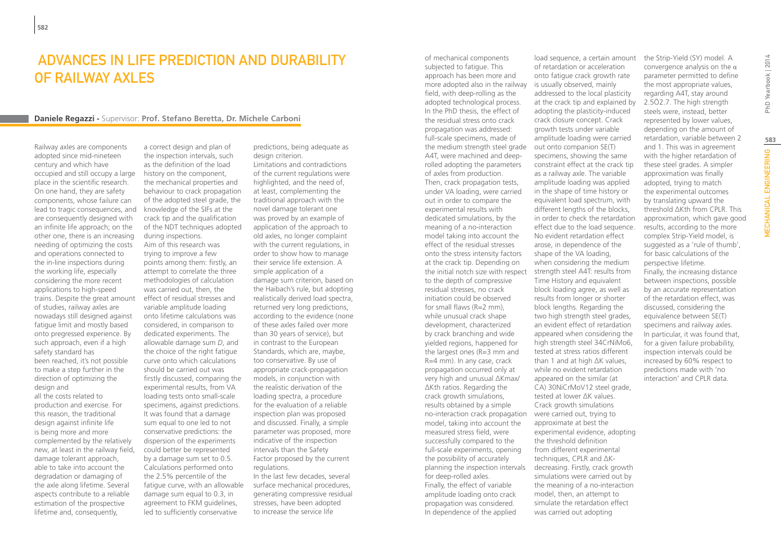### ADVANCES IN LIFE PREDICTION AND DURABILITY OF RAILWAY AXLES

a correct design and plan of the inspection intervals, such as the definition of the load history on the component,

#### **Daniele Regazzi -** Supervisor: **Prof. Stefano Beretta, Dr. Michele Carboni**

Railway axles are components adopted since mid-nineteen century and which have occupied and still occupy a large place in the scientific research. On one hand, they are safety components, whose failure can lead to tragic consequences, and are consequently designed with an infinite life approach; on the other one, there is an increasing needing of optimizing the costs and operations connected to the in-line inspections during the working life, especially considering the more recent applications to high-speed trains. Despite the great amount of studies, railway axles are nowadays still designed against fatigue limit and mostly based onto pregressed experience. By such approach, even if a high safety standard has been reached, it's not possible to make a step further in the direction of optimizing the design and all the costs related to production and exercise. For this reason, the traditional design against infinite life is being more and more complemented by the relatively new, at least in the railway field, damage tolerant approach, able to take into account the

degradation or damaging of the axle along lifetime. Several aspects contribute to a reliable estimation of the prospective lifetime and, consequently,

the mechanical properties and behaviour to crack propagation of the adopted steel grade, the knowledge of the SIFs at the crack tip and the qualification of the NDT techniques adopted during inspections. Aim of this research was trying to improve a few points among them: firstly, an attempt to correlate the three methodologies of calculation was carried out, then, the effect of residual stresses and variable amplitude loading onto lifetime calculations was considered, in comparison to dedicated experiments. The allowable damage sum *D*, and the choice of the right fatigue curve onto which calculations should be carried out was firstly discussed, comparing the experimental results, from VA loading tests onto small-scale specimens, against predictions. It was found that a damage sum equal to one led to not conservative predictions: the dispersion of the experiments could better be represented by a damage sum set to 0.5. Calculations performed onto the 2.5% percentile of the fatigue curve, with an allowable damage sum equal to 0.3, in agreement to FKM guidelines, led to sufficiently conservative

predictions, being adequate as design criterion.

Limitations and contradictions of the current regulations were highlighted, and the need of, at least, complementing the traditional approach with the novel damage tolerant one was proved by an example of application of the approach to old axles, no longer complaint with the current regulations, in order to show how to manage their service life extension. A simple application of a damage sum criterion, based on the Haibach's rule, but adopting realistically derived load spectra, returned very long predictions, according to the evidence (none of these axles failed over more than 30 years of service), but in contrast to the European Standards, which are, maybe, too conservative. By use of appropriate crack-propagation models, in conjunction with the realistic derivation of the loading spectra, a procedure for the evaluation of a reliable inspection plan was proposed and discussed. Finally, a simple parameter was proposed, more indicative of the inspection intervals than the Safety Factor proposed by the current regulations.

In the last few decades, several surface mechanical procedures, generating compressive residual stresses, have been adopted to increase the service life

of mechanical components subjected to fatigue. This approach has been more and more adopted also in the railway is usually observed, mainly field, with deep-rolling as the adopted technological process. In the PhD thesis, the effect of the residual stress onto crack propagation was addressed: full-scale specimens, made of the medium strength steel grade A4T, were machined and deeprolled adopting the parameters of axles from production. Then, crack propagation tests, under VA loading, were carried out in order to compare the experimental results with dedicated simulations, by the meaning of a no-interaction model taking into account the effect of the residual stresses onto the stress intensity factors at the crack tip. Depending on the initial notch size with respect to the depth of compressive residual stresses, no crack initiation could be observed for small flaws (R=2 mm), while unusual crack shape development, characterized by crack branching and wide yielded regions, happened for the largest ones (R=3 mm and R=4 mm). In any case, crack propagation occurred only at very high and unusual ΔKmax/ ΔKth ratios. Regarding the crack growth simulations, results obtained by a simple no-interaction crack propagation were carried out, trying to model, taking into account the measured stress field, were successfully compared to the full-scale experiments, opening the possibility of accurately planning the inspection intervals decreasing. Firstly, crack growth for deep-rolled axles. Finally, the effect of variable amplitude loading onto crack propagation was considered. In dependence of the applied

load sequence, a certain amount of retardation or acceleration onto fatigue crack growth rate addressed to the local plasticity at the crack tip and explained by adopting the plasticity-induced crack closure concept. Crack growth tests under variable amplitude loading were carried out onto companion SE(T) specimens, showing the same constraint effect at the crack tip as a railway axle. The variable amplitude loading was applied in the shape of time history or equivalent load spectrum, with different lengths of the blocks, in order to check the retardation effect due to the load sequence. No evident retardation effect arose, in dependence of the shape of the VA loading, when considering the medium strength steel A4T: results from Time History and equivalent block loading agree, as well as results from longer or shorter block lengths. Regarding the two high strength steel grades, an evident effect of retardation appeared when considering the high strength steel 34CrNiMo6, tested at stress ratios different than 1 and at high ΔK values, while no evident retardation appeared on the similar (at CA) 30NiCrMoV12 steel grade, tested at lower ΔK values. Crack growth simulations approximate at best the experimental evidence, adopting the threshold definition from different experimental techniques, CPLR and ΔKsimulations were carried out by the meaning of a no-interaction model, then, an attempt to simulate the retardation effect was carried out adopting

the Strip-Yield (SY) model. A convergence analysis on the  $\alpha$ parameter permitted to define the most appropriate values, regarding A4T, stay around 2.5Ö2.7. The high strength steels were, instead, better represented by lower values, depending on the amount of retardation, variable between 2 and 1. This was in agreement with the higher retardation of these steel grades. A simpler approximation was finally adopted, trying to match the experimental outcomes by translating upward the threshold ΔKth from CPLR. This approximation, which gave good results, according to the more complex Strip-Yield model, is suggested as a 'rule of thumb', for basic calculations of the perspective lifetime. Finally, the increasing distance between inspections, possible by an accurate representation of the retardation effect, was discussed, considering the equivalence between SE(T) specimens and railway axles. In particular, it was found that, for a given failure probability, inspection intervals could be increased by 60% respect to predictions made with 'no interaction' and CPLR data.